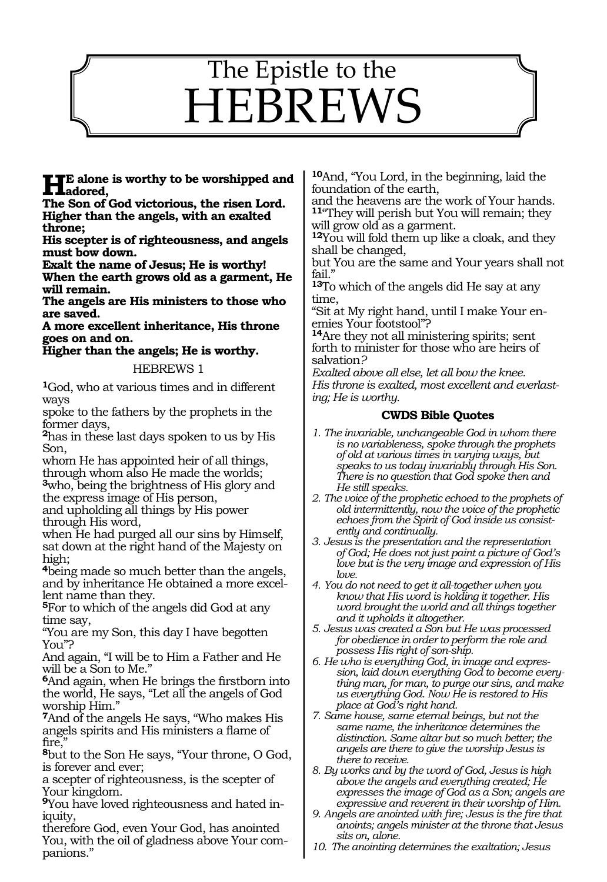# 1524 The Epistle to the HEBREWS

**HE** alone is worthy to be worshipped and<br>
The Sep of Cod riderious the right Land

**The Son of God victorious, the risen Lord. Higher than the angels, with an exalted throne;** 

**His scepter is of righteousness, and angels must bow down.** 

**Exalt the name of Jesus; He is worthy! When the earth grows old as a garment, He will remain.** 

**The angels are His ministers to those who are saved.** 

**A more excellent inheritance, His throne goes on and on.** 

# **Higher than the angels; He is worthy.**

#### HEBREWS 1

**<sup>1</sup>**God, who at various times and in different ways

spoke to the fathers by the prophets in the former days,

**<sup>2</sup>**has in these last days spoken to us by His Son,

whom He has appointed heir of all things, through whom also He made the worlds;

**<sup>3</sup>**who, being the brightness of His glory and the express image of His person,

and upholding all things by His power through His word,

when He had purged all our sins by Himself, sat down at the right hand of the Majesty on high;

**<sup>4</sup>**being made so much better than the angels, and by inheritance He obtained a more excellent name than they.

**<sup>5</sup>**For to which of the angels did God at any time say,

"You are my Son, this day I have begotten You"?

And again, "I will be to Him a Father and He will be a Son to Me.'

**<sup>6</sup>**And again, when He brings the firstborn into the world, He says, "Let all the angels of God worship Him."

**<sup>7</sup>**And of the angels He says, "Who makes His angels spirits and His ministers a flame of fire.'

**<sup>8</sup>**but to the Son He says, "Your throne, O God, is forever and ever;

a scepter of righteousness, is the scepter of Your kingdom.

**9**You have loved righteousness and hated iniquity,

therefore God, even Your God, has anointed You, with the oil of gladness above Your companions."

**<sup>10</sup>**And, "You Lord, in the beginning, laid the foundation of the earth,

and the heavens are the work of Your hands. **<sup>11</sup>**"They will perish but You will remain; they will grow old as a garment.

**<sup>12</sup>**You will fold them up like a cloak, and they shall be changed,

but You are the same and Your years shall not fail."

**<sup>13</sup>**To which of the angels did He say at any time,

"Sit at My right hand, until I make Your enemies Your footstool"?

**<sup>14</sup>**Are they not all ministering spirits; sent forth to minister for those who are heirs of salvation*?*

*Exalted above all else, let all bow the knee. His throne is exalted, most excellent and everlasting; He is worthy.*

### **CWDS Bible Quotes**

- *1. The invariable, unchangeable God in whom there is no variableness, spoke through the prophets of old at various times in varying ways, but speaks to us today invariably through His Son. There is no question that God spoke then and He still speaks.*
- *2. The voice of the prophetic echoed to the prophets of old intermittently, now the voice of the prophetic echoes from the Spirit of God inside us consistently and continually.*
- *3. Jesus is the presentation and the representation of God; He does not just paint a picture of God's love but is the very image and expression of His love.*
- *4. You do not need to get it all-together when you know that His word is holding it together. His word brought the world and all things together and it upholds it altogether.*

*5. Jesus was created a Son but He was processed for obedience in order to perform the role and possess His right of son-ship.*

*6. He who is everything God, in image and expression, laid down everything God to become everything man, for man, to purge our sins, and make us everything God. Now He is restored to His place at God's right hand.* 

*7. Same house, same eternal beings, but not the same name, the inheritance determines the distinction. Same altar but so much better; the angels are there to give the worship Jesus is there to receive.*

*8. By works and by the word of God, Jesus is high above the angels and everything created; He expresses the image of God as a Son; angels are expressive and reverent in their worship of Him.*

*9. Angels are anointed with fire; Jesus is the fire that anoints; angels minister at the throne that Jesus sits on, alone.*

*10. The anointing determines the exaltation; Jesus*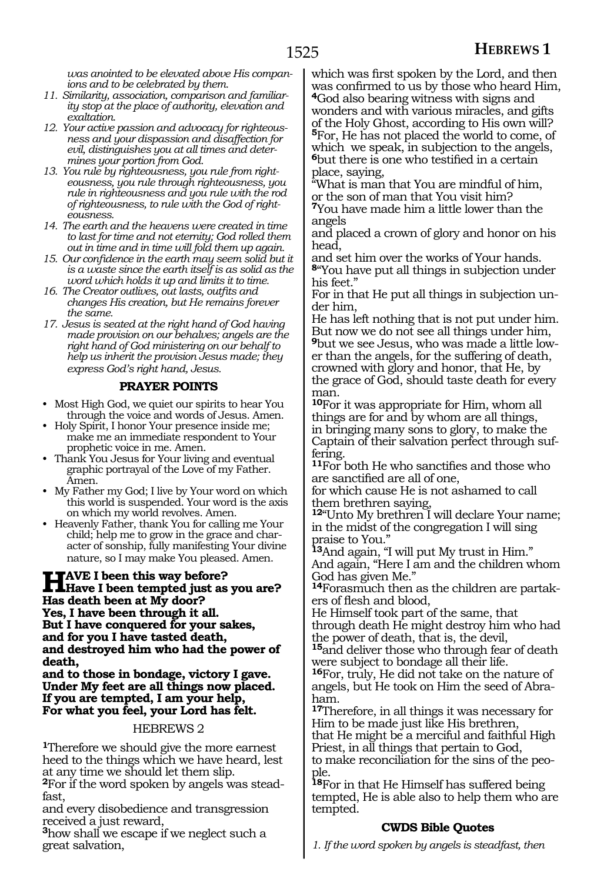*was anointed to be elevated above His companions and to be celebrated by them.*

- *11. Similarity, association, comparison and familiarity stop at the place of authority, elevation and exaltation.*
- *12. Your active passion and advocacy for righteousness and your dispassion and disaffection for evil, distinguishes you at all times and determines your portion from God.*
- *13. You rule by righteousness, you rule from righteousness, you rule through righteousness, you rule in righteousness and you rule with the rod of righteousness, to rule with the God of righteousness.*
- *14. The earth and the heavens were created in time to last for time and not eternity; God rolled them out in time and in time will fold them up again.*
- *15. Our confidence in the earth may seem solid but it is a waste since the earth itself is as solid as the word which holds it up and limits it to time.*
- *16. The Creator outlives, out lasts, outfits and changes His creation, but He remains forever the same.*
- *17. Jesus is seated at the right hand of God having made provision on our behalves; angels are the right hand of God ministering on our behalf to help us inherit the provision Jesus made; they express God's right hand, Jesus.*

# **PRAYER POINTS**

- Most High God, we quiet our spirits to hear You through the voice and words of Jesus. Amen.
- Holy Spirit, I honor Your presence inside me; make me an immediate respondent to Your prophetic voice in me. Amen.
- Thank You Jesus for Your living and eventual graphic portrayal of the Love of my Father. Amen.
- My Father my God; I live by Your word on which this world is suspended. Your word is the axis on which my world revolves. Amen.
- Heavenly Father, thank You for calling me Your child; help me to grow in the grace and character of sonship, fully manifesting Your divine nature, so I may make You pleased. Amen.

**HAVE I been this way before?**<br>Have I been tempted just as you are?<br>Hee don't been at My door? **Has death been at My door? Yes, I have been through it all. But I have conquered for your sakes, and for you I have tasted death, and destroyed him who had the power of death,**

**and to those in bondage, victory I gave. Under My feet are all things now placed. If you are tempted, I am your help, For what you feel, your Lord has felt.** 

#### HEBREWS 2

**<sup>1</sup>**Therefore we should give the more earnest heed to the things which we have heard, lest at any time we should let them slip.

**2**For if the word spoken by angels was steadfast,

and every disobedience and transgression received a just reward,

**<sup>3</sup>**how shall we escape if we neglect such a great salvation,

which was first spoken by the Lord, and then was confirmed to us by those who heard Him, **<sup>4</sup>**God also bearing witness with signs and wonders and with various miracles, and gifts of the Holy Ghost, according to His own will? **<sup>5</sup>**For, He has not placed the world to come, of which we speak, in subjection to the angels, **<sup>6</sup>**but there is one who testified in a certain place, saying,

"What is man that You are mindful of him, or the son of man that You visit him?

**<sup>7</sup>**You have made him a little lower than the angels

and placed a crown of glory and honor on his head,

and set him over the works of Your hands. **<sup>8</sup>**"You have put all things in subjection under his feet."

For in that He put all things in subjection under him,

He has left nothing that is not put under him. But now we do not see all things under him, **9**but we see Jesus, who was made a little lower than the angels, for the suffering of death, crowned with glory and honor, that He, by the grace of God, should taste death for every man.

**<sup>10</sup>**For it was appropriate for Him, whom all things are for and by whom are all things, in bringing many sons to glory, to make the Captain of their salvation perfect through suffering.

**<sup>11</sup>**For both He who sanctifies and those who are sanctified are all of one,

for which cause He is not ashamed to call them brethren saying,

**<sup>12</sup>**"Unto My brethren I will declare Your name; in the midst of the congregation I will sing praise to You."

**<sup>13</sup>**And again, "I will put My trust in Him." And again, "Here I am and the children whom God has given Me."

**14**Forasmuch then as the children are partakers of flesh and blood,

He Himself took part of the same, that through death He might destroy him who had the power of death, that is, the devil,

**<sup>15</sup>**and deliver those who through fear of death were subject to bondage all their life.

**<sup>16</sup>**For, truly, He did not take on the nature of angels, but He took on Him the seed of Abraham.

**<sup>17</sup>**Therefore, in all things it was necessary for Him to be made just like His brethren,

that He might be a merciful and faithful High Priest, in all things that pertain to God,

to make reconciliation for the sins of the peo- ple.

**<sup>18</sup>**For in that He Himself has suffered being tempted, He is able also to help them who are tempted.

# **CWDS Bible Quotes**

*1. If the word spoken by angels is steadfast, then*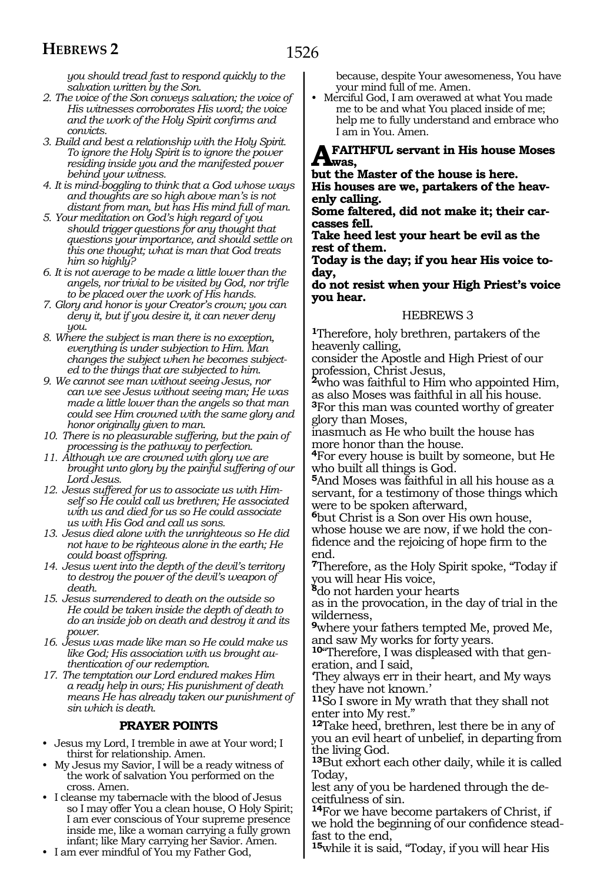1526

*you should tread fast to respond quickly to the salvation written by the Son.*

- *2. The voice of the Son conveys salvation; the voice of His witnesses corroborates His word; the voice and the work of the Holy Spirit confirms and convicts.*
- *3. Build and best a relationship with the Holy Spirit. To ignore the Holy Spirit is to ignore the power residing inside you and the manifested power behind your witness.*
- *4. It is mind-boggling to think that a God whose ways and thoughts are so high above man's is not distant from man, but has His mind full of man.*
- *5. Your meditation on God's high regard of you should trigger questions for any thought that questions your importance, and should settle on this one thought; what is man that God treats him so highly?*
- *6. It is not average to be made a little lower than the angels, nor trivial to be visited by God, nor trifle to be placed over the work of His hands.*
- *7. Glory and honor is your Creator's crown; you can deny it, but if you desire it, it can never deny you.*
- *8. Where the subject is man there is no exception, everything is under subjection to Him. Man changes the subject when he becomes subjected to the things that are subjected to him.*
- *9. We cannot see man without seeing Jesus, nor can we see Jesus without seeing man; He was made a little lower than the angels so that man could see Him crowned with the same glory and honor originally given to man.*
- *10. There is no pleasurable suffering, but the pain of processing is the pathway to perfection.*
- *11. Although we are crowned with glory we are brought unto glory by the painful suffering of our Lord Jesus.*
- *12. Jesus suffered for us to associate us with Himself so He could call us brethren; He associated with us and died for us so He could associate us with His God and call us sons.*
- *13. Jesus died alone with the unrighteous so He did not have to be righteous alone in the earth; He could boast offspring.*
- *14. Jesus went into the depth of the devil's territory to destroy the power of the devil's weapon of death.*
- *15. Jesus surrendered to death on the outside so He could be taken inside the depth of death to do an inside job on death and destroy it and its power.*
- *16. Jesus was made like man so He could make us like God; His association with us brought authentication of our redemption.*
- *17. The temptation our Lord endured makes Him a ready help in ours; His punishment of death means He has already taken our punishment of sin which is death.*

#### **PRAYER POINTS**

- Jesus my Lord, I tremble in awe at Your word; I thirst for relationship. Amen.
- My Jesus my Savior, I will be a ready witness of the work of salvation You performed on the cross. Amen.
- I cleanse my tabernacle with the blood of Jesus so I may offer You a clean house, O Holy Spirit; I am ever conscious of Your supreme presence inside me, like a woman carrying a fully grown infant; like Mary carrying her Savior. Amen.
- I am ever mindful of You my Father God,

because, despite Your awesomeness, You have your mind full of me. Amen.

• Merciful God, I am overawed at what You made me to be and what You placed inside of me; help me to fully understand and embrace who I am in You. Amen.

#### **A faithful servant in His house Moses**   $A_{\text{was}}$ .

**but the Master of the house is here. His houses are we, partakers of the heavenly calling.**

**Some faltered, did not make it; their carcasses fell.**

**Take heed lest your heart be evil as the rest of them.**

**Today is the day; if you hear His voice today,**

**do not resist when your High Priest's voice you hear.** 

#### HEBREWS 3

**<sup>1</sup>**Therefore, holy brethren, partakers of the heavenly calling,

consider the Apostle and High Priest of our profession, Christ Jesus,

**<sup>2</sup>**who was faithful to Him who appointed Him, as also Moses was faithful in all his house.

**<sup>3</sup>**For this man was counted worthy of greater glory than Moses,

inasmuch as He who built the house has more honor than the house.

**<sup>4</sup>**For every house is built by someone, but He who built all things is God.

**<sup>5</sup>**And Moses was faithful in all his house as a servant, for a testimony of those things which were to be spoken afterward,

**<sup>6</sup>**but Christ is a Son over His own house, whose house we are now, if we hold the confidence and the rejoicing of hope firm to the end.

**<sup>7</sup>**Therefore, as the Holy Spirit spoke, "Today if you will hear His voice,

**<sup>8</sup>**do not harden your hearts

as in the provocation, in the day of trial in the wilderness,

**<sup>9</sup>**where your fathers tempted Me, proved Me, and saw My works for forty years.

**10**"Therefore, I was displeased with that generation, and I said,

'They always err in their heart, and My ways they have not known.'

**<sup>11</sup>**So I swore in My wrath that they shall not enter into My rest."

**<sup>12</sup>**Take heed, brethren, lest there be in any of you an evil heart of unbelief, in departing from the living God.

**<sup>13</sup>**But exhort each other daily, while it is called Today,

lest any of you be hardened through the deceitfulness of sin.

**<sup>14</sup>**For we have become partakers of Christ, if we hold the beginning of our confidence stead- fast to the end,

**<sup>15</sup>**while it is said, "Today, if you will hear His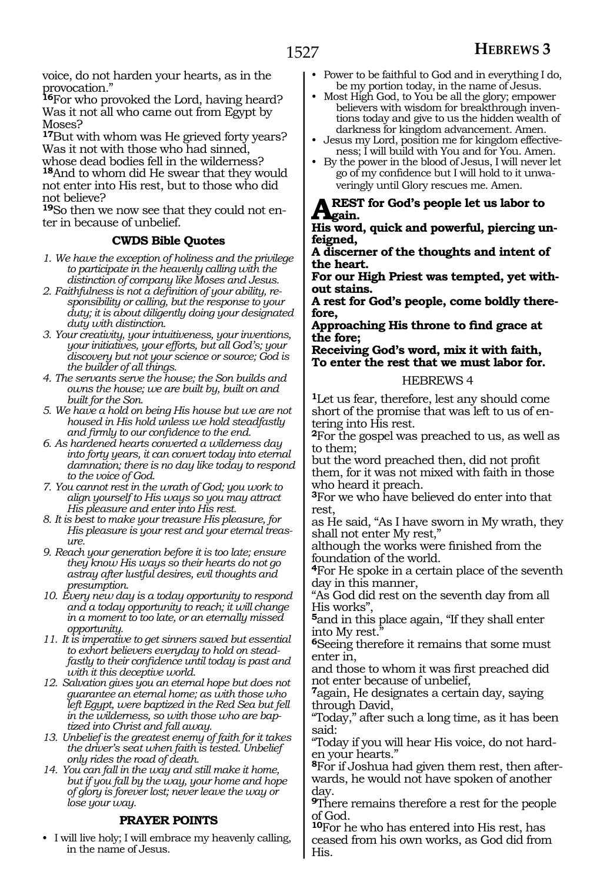voice, do not harden your hearts, as in the provocation."

**<sup>16</sup>**For who provoked the Lord, having heard? Was it not all who came out from Egypt by Moses?

**<sup>17</sup>**But with whom was He grieved forty years? Was it not with those who had sinned,

whose dead bodies fell in the wilderness? **<sup>18</sup>**And to whom did He swear that they would not enter into His rest, but to those who did not believe?

**19**So then we now see that they could not enter in because of unbelief.

# **CWDS Bible Quotes**

*1. We have the exception of holiness and the privilege to participate in the heavenly calling with the distinction of company like Moses and Jesus.*

- *2. Faithfulness is not a definition of your ability, responsibility or calling, but the response to your duty; it is about diligently doing your designated duty with distinction.*
- *3. Your creativity, your intuitiveness, your inventions, your initiatives, your efforts, but all God's; your discovery but not your science or source; God is the builder of all things.*
- *4. The servants serve the house; the Son builds and owns the house; we are built by, built on and built for the Son.*
- *5. We have a hold on being His house but we are not housed in His hold unless we hold steadfastly and firmly to our confidence to the end.*
- *6. As hardened hearts converted a wilderness day into forty years, it can convert today into eternal damnation; there is no day like today to respond to the voice of God.*
- *7. You cannot rest in the wrath of God; you work to align yourself to His ways so you may attract His pleasure and enter into His rest.*
- *8. It is best to make your treasure His pleasure, for His pleasure is your rest and your eternal treasure.*
- *9. Reach your generation before it is too late; ensure they know His ways so their hearts do not go astray after lustful desires, evil thoughts and presumption.*
- *10. Every new day is a today opportunity to respond and a today opportunity to reach; it will change in a moment to too late, or an eternally missed opportunity.*
- *11. It is imperative to get sinners saved but essential to exhort believers everyday to hold on steadfastly to their confidence until today is past and with it this deceptive world.*
- *12. Salvation gives you an eternal hope but does not guarantee an eternal home; as with those who left Egypt, were baptized in the Red Sea but fell in the wilderness, so with those who are baptized into Christ and fall away.*
- *13. Unbelief is the greatest enemy of faith for it takes the driver's seat when faith is tested. Unbelief only rides the road of death.*
- *14. You can fall in the way and still make it home, but if you fall by the way, your home and hope of glory is forever lost; never leave the way or lose your way.*

# **PRAYER POINTS**

• I will live holy; I will embrace my heavenly calling, in the name of Jesus.

- Power to be faithful to God and in everything I do, be my portion today, in the name of Jesus.
- Most High God, to You be all the glory; empower believers with wisdom for breakthrough inventions today and give to us the hidden wealth of darkness for kingdom advancement. Amen.
- Jesus my Lord, position me for kingdom effectiveness; I will build with You and for You. Amen.
- By the power in the blood of Jesus, I will never let go of my confidence but I will hold to it unwaveringly until Glory rescues me. Amen.

**REST for God's people let us labor to gain.**

**His word, quick and powerful, piercing unfeigned,**

**A discerner of the thoughts and intent of the heart.**

**For our High Priest was tempted, yet without stains.**

**A rest for God's people, come boldly therefore,**

**Approaching His throne to find grace at the fore;**

**Receiving God's word, mix it with faith, To enter the rest that we must labor for.** 

#### HEBREWS 4

**<sup>1</sup>**Let us fear, therefore, lest any should come short of the promise that was left to us of entering into His rest.

**<sup>2</sup>**For the gospel was preached to us, as well as to them;

but the word preached then, did not profit them, for it was not mixed with faith in those who heard it preach.

**<sup>3</sup>**For we who have believed do enter into that rest,

as He said, "As I have sworn in My wrath, they shall not enter My rest,"

although the works were finished from the foundation of the world.

**<sup>4</sup>**For He spoke in a certain place of the seventh day in this manner,

"As God did rest on the seventh day from all His works",

**<sup>5</sup>**and in this place again, "If they shall enter into My rest.

**<sup>6</sup>**Seeing therefore it remains that some must enter in,

and those to whom it was first preached did not enter because of unbelief,

**<sup>7</sup>**again, He designates a certain day, saying through David,

"Today," after such a long time, as it has been said:

"Today if you will hear His voice, do not harden your hearts."

**8**For if Joshua had given them rest, then afterwards, he would not have spoken of another day.

**<sup>9</sup>**There remains therefore a rest for the people of God.

**<sup>10</sup>**For he who has entered into His rest, has ceased from his own works, as God did from His.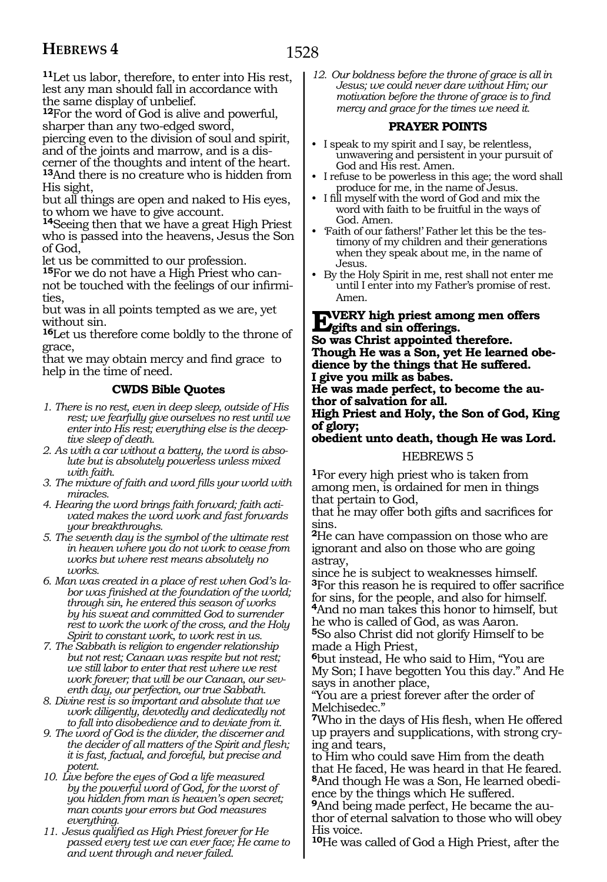**<sup>11</sup>**Let us labor, therefore, to enter into His rest, lest any man should fall in accordance with the same display of unbelief.

**<sup>12</sup>**For the word of God is alive and powerful, sharper than any two-edged sword,

piercing even to the division of soul and spirit, and of the joints and marrow, and is a discerner of the thoughts and intent of the heart. **<sup>13</sup>**And there is no creature who is hidden from His sight,

but all things are open and naked to His eyes, to whom we have to give account.

**<sup>14</sup>**Seeing then that we have a great High Priest who is passed into the heavens, Jesus the Son of God,

let us be committed to our profession.

**15**For we do not have a High Priest who cannot be touched with the feelings of our infirmities,

but was in all points tempted as we are, yet without sin.

**<sup>16</sup>**Let us therefore come boldly to the throne of grace,

that we may obtain mercy and find grace to help in the time of need.

### **CWDS Bible Quotes**

- *1. There is no rest, even in deep sleep, outside of His rest; we fearfully give ourselves no rest until we enter into His rest; everything else is the deceptive sleep of death.*
- *2. As with a car without a battery, the word is absolute but is absolutely powerless unless mixed with faith.*
- *3. The mixture of faith and word fills your world with miracles.*
- *4. Hearing the word brings faith forward; faith activated makes the word work and fast forwards your breakthroughs.*
- *5. The seventh day is the symbol of the ultimate rest in heaven where you do not work to cease from works but where rest means absolutely no works.*
- *6. Man was created in a place of rest when God's labor was finished at the foundation of the world; through sin, he entered this season of works by his sweat and committed God to surrender rest to work the work of the cross, and the Holy Spirit to constant work, to work rest in us.*
- *7. The Sabbath is religion to engender relationship but not rest; Canaan was respite but not rest; we still labor to enter that rest where we rest work forever; that will be our Canaan, our seventh day, our perfection, our true Sabbath.*
- *8. Divine rest is so important and absolute that we work diligently, devotedly and dedicatedly not to fall into disobedience and to deviate from it.*
- *9. The word of God is the divider, the discerner and the decider of all matters of the Spirit and flesh; it is fast, factual, and forceful, but precise and potent.*
- *10. Live before the eyes of God a life measured by the powerful word of God, for the worst of you hidden from man is heaven's open secret; man counts your errors but God measures everything.*
- *11. Jesus qualified as High Priest forever for He passed every test we can ever face; He came to and went through and never failed.*

*12. Our boldness before the throne of grace is all in Jesus; we could never dare without Him; our motivation before the throne of grace is to find mercy and grace for the times we need it.*

### **PRAYER POINTS**

- I speak to my spirit and I say, be relentless, unwavering and persistent in your pursuit of God and His rest. Amen.
- I refuse to be powerless in this age; the word shall produce for me, in the name of Jesus.
- I fill myself with the word of God and mix the word with faith to be fruitful in the ways of God. Amen.
- Faith of our fathers!' Father let this be the testimony of my children and their generations when they speak about me, in the name of Jesus.
- By the Holy Spirit in me, rest shall not enter me until I enter into my Father's promise of rest. Amen.

# **EVERY high priest among men offers**<br> **gifts and sin offerings.**

**So was Christ appointed therefore. Though He was a Son, yet He learned obedience by the things that He suffered. I give you milk as babes.**

**He was made perfect, to become the author of salvation for all.**

#### **High Priest and Holy, the Son of God, King of glory;**

**obedient unto death, though He was Lord.** 

#### HEBREWS 5

**<sup>1</sup>**For every high priest who is taken from among men, is ordained for men in things that pertain to God,

that he may offer both gifts and sacrifices for sins.

**<sup>2</sup>**He can have compassion on those who are ignorant and also on those who are going astray,

since he is subject to weaknesses himself. **<sup>3</sup>**For this reason he is required to offer sacrifice for sins, for the people, and also for himself. **<sup>4</sup>**And no man takes this honor to himself, but he who is called of God, as was Aaron. **<sup>5</sup>**So also Christ did not glorify Himself to be

made a High Priest,

**<sup>6</sup>**but instead, He who said to Him, "You are My Son; I have begotten You this day." And He says in another place,

"You are a priest forever after the order of Melchisedec."

**<sup>7</sup>**Who in the days of His flesh, when He offered up prayers and supplications, with strong crying and tears,

to Him who could save Him from the death that He faced, He was heard in that He feared. **8**And though He was a Son, He learned obedience by the things which He suffered.

**9**And being made perfect, He became the author of eternal salvation to those who will obey His voice.

**<sup>10</sup>**He was called of God a High Priest, after the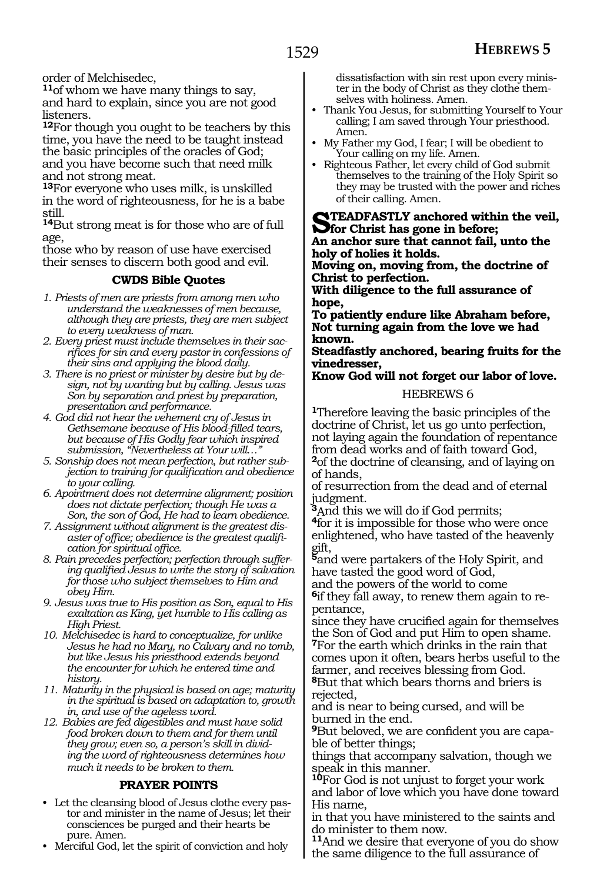order of Melchisedec,

**<sup>11</sup>**of whom we have many things to say, and hard to explain, since you are not good listeners.

**<sup>12</sup>**For though you ought to be teachers by this time, you have the need to be taught instead the basic principles of the oracles of God; and you have become such that need milk and not strong meat.

**<sup>13</sup>**For everyone who uses milk, is unskilled in the word of righteousness, for he is a babe still.

**<sup>14</sup>**But strong meat is for those who are of full age,

those who by reason of use have exercised their senses to discern both good and evil.

# **CWDS Bible Quotes**

- *1. Priests of men are priests from among men who understand the weaknesses of men because, although they are priests, they are men subject to every weakness of man.*
- *2. Every priest must include themselves in their sacrifices for sin and every pastor in confessions of their sins and applying the blood daily.*
- *3. There is no priest or minister by desire but by design, not by wanting but by calling. Jesus was Son by separation and priest by preparation, presentation and performance.*
- *4. God did not hear the vehement cry of Jesus in Gethsemane because of His blood-filled tears, but because of His Godly fear which inspired submission, "Nevertheless at Your will…"*
- *5. Sonship does not mean perfection, but rather subjection to training for qualification and obedience to your calling.*
- *6. Apointment does not determine alignment; position does not dictate perfection; though He was a Son, the son of God, He had to learn obedience.*
- *7. Assignment without alignment is the greatest disaster of office; obedience is the greatest qualification for spiritual office.*
- *8. Pain precedes perfection; perfection through suffering qualified Jesus to write the story of salvation for those who subject themselves to Him and obey Him.*
- *9. Jesus was true to His position as Son, equal to His exaltation as King, yet humble to His calling as High Priest.*
- *10. Melchisedec is hard to conceptualize, for unlike Jesus he had no Mary, no Calvary and no tomb, but like Jesus his priesthood extends beyond the encounter for which he entered time and history.*
- *11. Maturity in the physical is based on age; maturity in the spiritual is based on adaptation to, growth in, and use of the ageless word.*
- *12. Babies are fed digestibles and must have solid food broken down to them and for them until they grow; even so, a person's skill in dividing the word of righteousness determines how much it needs to be broken to them.*

# **PRAYER POINTS**

- Let the cleansing blood of Jesus clothe every pastor and minister in the name of Jesus; let their consciences be purged and their hearts be pure. Amen.
- Merciful God, let the spirit of conviction and holy

dissatisfaction with sin rest upon every minister in the body of Christ as they clothe themselves with holiness. Amen.

- Thank You Jesus, for submitting Yourself to Your calling; I am saved through Your priesthood. Amen.
- My Father my God, I fear; I will be obedient to Your calling on my life. Amen.
- Righteous Father, let every child of God submit themselves to the training of the Holy Spirit so they may be trusted with the power and riches of their calling. Amen.

**STEADFASTLY anchored within the veil,**<br> **Stockhold and the state of the state of the state of the state of the state of the state of the state of the state of the state of the state of the state of the state of the state** 

**An anchor sure that cannot fail, unto the holy of holies it holds.**

**Moving on, moving from, the doctrine of Christ to perfection.**

**With diligence to the full assurance of hope,**

**To patiently endure like Abraham before, Not turning again from the love we had known.**

**Steadfastly anchored, bearing fruits for the vinedresser,**

**Know God will not forget our labor of love.** 

#### HEBREWS 6

**<sup>1</sup>**Therefore leaving the basic principles of the doctrine of Christ, let us go unto perfection, not laying again the foundation of repentance from dead works and of faith toward God, **<sup>2</sup>**of the doctrine of cleansing, and of laying on of hands,

of resurrection from the dead and of eternal

judgment.<br><sup>3</sup>And this we will do if God permits;

<sup>4</sup>for it is impossible for those who were once enlightened, who have tasted of the heavenly gift,

**<sup>5</sup>**and were partakers of the Holy Spirit, and have tasted the good word of God,

and the powers of the world to come

**6**if they fall away, to renew them again to repentance,

since they have crucified again for themselves the Son of God and put Him to open shame. **<sup>7</sup>**For the earth which drinks in the rain that comes upon it often, bears herbs useful to the farmer, and receives blessing from God.

**<sup>8</sup>**But that which bears thorns and briers is rejected,

and is near to being cursed, and will be burned in the end.

**9**But beloved, we are confident you are capable of better things;

things that accompany salvation, though we speak in this manner.

**<sup>10</sup>**For God is not unjust to forget your work and labor of love which you have done toward His name,

in that you have ministered to the saints and do minister to them now.

**<sup>11</sup>**And we desire that everyone of you do show the same diligence to the full assurance of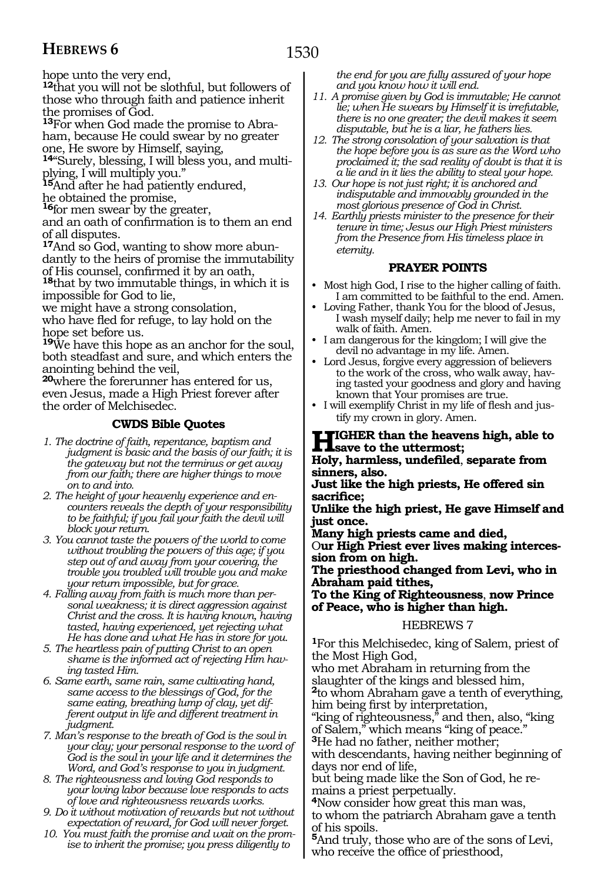hope unto the very end,

**<sup>12</sup>**that you will not be slothful, but followers of those who through faith and patience inherit the promises of God.

**13**For when God made the promise to Abraham, because He could swear by no greater one, He swore by Himself, saying,

**14**"Surely, blessing, I will bless you, and multiplying, I will multiply you."

**<sup>15</sup>**And after he had patiently endured, he obtained the promise,

**<sup>16</sup>**for men swear by the greater,

and an oath of confirmation is to them an end of all disputes.

**17**And so God, wanting to show more abundantly to the heirs of promise the immutability

of His counsel, confirmed it by an oath, **<sup>18</sup>**that by two immutable things, in which it is impossible for God to lie,

we might have a strong consolation, who have fled for refuge, to lay hold on the

hope set before us.

**<sup>19</sup>**We have this hope as an anchor for the soul, both steadfast and sure, and which enters the anointing behind the veil,

**<sup>20</sup>**where the forerunner has entered for us, even Jesus, made a High Priest forever after the order of Melchisedec.

### **CWDS Bible Quotes**

- *1. The doctrine of faith, repentance, baptism and judgment is basic and the basis of our faith; it is the gateway but not the terminus or get away from our faith; there are higher things to move on to and into.*
- *2. The height of your heavenly experience and encounters reveals the depth of your responsibility to be faithful; if you fail your faith the devil will block your return.*

*3. You cannot taste the powers of the world to come without troubling the powers of this age; if you step out of and away from your covering, the trouble you troubled will trouble you and make your return impossible, but for grace.*

*4. Falling away from faith is much more than personal weakness; it is direct aggression against Christ and the cross. It is having known, having tasted, having experienced, yet rejecting what He has done and what He has in store for you.*

*5. The heartless pain of putting Christ to an open shame is the informed act of rejecting Him having tasted Him.* 

*6. Same earth, same rain, same cultivating hand, same access to the blessings of God, for the same eating, breathing lump of clay, yet different output in life and different treatment in judgment.*

*7. Man's response to the breath of God is the soul in your clay; your personal response to the word of God is the soul in your life and it determines the Word, and God's response to you in judgment.* 

*8. The righteousness and loving God responds to your loving labor because love responds to acts of love and righteousness rewards works.*

*9. Do it without motivation of rewards but not without expectation of reward, for God will never forget.*

*10. You must faith the promise and wait on the promise to inherit the promise; you press diligently to* 

*the end for you are fully assured of your hope and you know how it will end.*

- *11. A promise given by God is immutable; He cannot lie; when He swears by Himself it is irrefutable, there is no one greater; the devil makes it seem disputable, but he is a liar, he fathers lies.*
- *12. The strong consolation of your salvation is that the hope before you is as sure as the Word who proclaimed it; the sad reality of doubt is that it is a lie and in it lies the ability to steal your hope.*
- *13. Our hope is not just right; it is anchored and indisputable and immovably grounded in the most glorious presence of God in Christ.*
- *14. Earthly priests minister to the presence for their tenure in time; Jesus our High Priest ministers from the Presence from His timeless place in eternity.*

#### **PRAYER POINTS**

- Most high God, I rise to the higher calling of faith. I am committed to be faithful to the end. Amen.
- Loving Father, thank You for the blood of Jesus, I wash myself daily; help me never to fail in my walk of faith. Amen.
- I am dangerous for the kingdom; I will give the devil no advantage in my life. Amen.
- Lord Jesus, forgive every aggression of believers to the work of the cross, who walk away, having tasted your goodness and glory and having known that Your promises are true.
- I will exemplify Christ in my life of flesh and justify my crown in glory. Amen.

# **HIGHER than the heavens high, able to**<br> **Help harmless undefied separate from**

**Holy, harmless, undefiled**, **separate from sinners, also.**

**Just like the high priests, He offered sin sacrifice;**

**Unlike the high priest, He gave Himself and just once.**

**Many high priests came and died,**

O**ur High Priest ever lives making intercession from on high.**

**The priesthood changed from Levi, who in Abraham paid tithes,**

**To the King of Righteousness**, **now Prince of Peace, who is higher than high.** 

#### HEBREWS 7

**<sup>1</sup>**For this Melchisedec, king of Salem, priest of the Most High God,

who met Abraham in returning from the slaughter of the kings and blessed him, **<sup>2</sup>**to whom Abraham gave a tenth of everything, him being first by interpretation,

"king of righteousness," and then, also, "king of Salem," which means "king of peace."

**<sup>3</sup>**He had no father, neither mother;

with descendants, having neither beginning of days nor end of life,

but being made like the Son of God, he remains a priest perpetually.

**<sup>4</sup>**Now consider how great this man was, to whom the patriarch Abraham gave a tenth of his spoils.

**<sup>5</sup>**And truly, those who are of the sons of Levi, who receive the office of priesthood,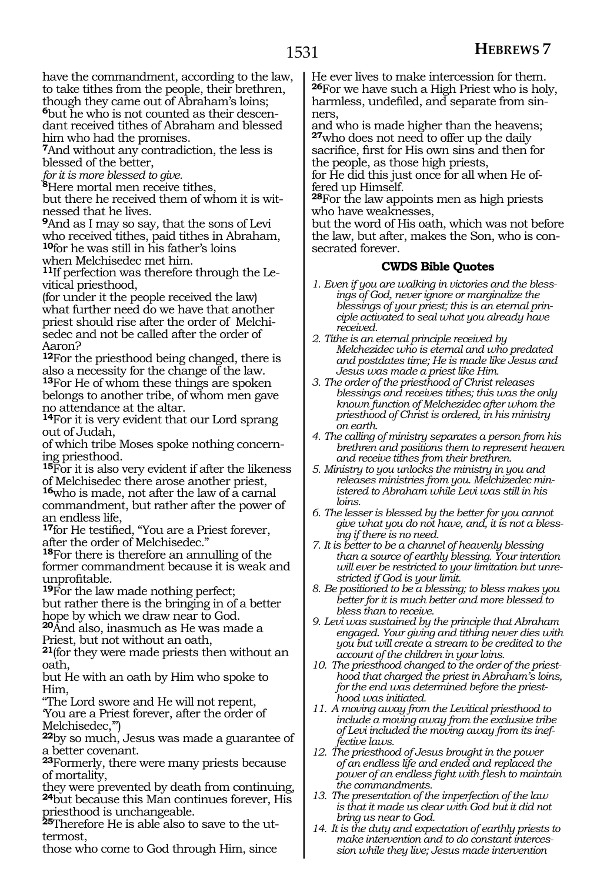have the commandment, according to the law, to take tithes from the people, their brethren, though they came out of Abraham's loins; **6**but he who is not counted as their descendant received tithes of Abraham and blessed him who had the promises.

**<sup>7</sup>**And without any contradiction, the less is blessed of the better,

*for it is more blessed to give.*

**<sup>8</sup>**Here mortal men receive tithes,

but there he received them of whom it is witnessed that he lives.

**<sup>9</sup>**And as I may so say*,* that the sons of Levi who received tithes, paid tithes in Abraham, **<sup>10</sup>**for he was still in his father's loins when Melchisedec met him.

**11**If perfection was therefore through the Levitical priesthood,

(for under it the people received the law) what further need do we have that another priest should rise after the order of Melchisedec and not be called after the order of Aaron?

**<sup>12</sup>**For the priesthood being changed, there is also a necessity for the change of the law. **<sup>13</sup>**For He of whom these things are spoken belongs to another tribe, of whom men gave no attendance at the altar.

**<sup>14</sup>**For it is very evident that our Lord sprang out of Judah,

of which tribe Moses spoke nothing concerning priesthood.

**<sup>15</sup>**For it is also very evident if after the likeness of Melchisedec there arose another priest, **<sup>16</sup>**who is made, not after the law of a carnal commandment, but rather after the power of an endless life,

**<sup>17</sup>**for He testified, "You are a Priest forever, after the order of Melchisedec."

**<sup>18</sup>**For there is therefore an annulling of the former commandment because it is weak and unprofitable.

**<sup>19</sup>**For the law made nothing perfect;

but rather there is the bringing in of a better hope by which we draw near to God.

**<sup>20</sup>**And also, inasmuch as He was made a Priest, but not without an oath,

**<sup>21</sup>**(for they were made priests then without an oath,

but He with an oath by Him who spoke to Him,

"The Lord swore and He will not repent, 'You are a Priest forever, after the order of Melchisedec,'")

**<sup>22</sup>**by so much, Jesus was made a guarantee of a better covenant.

**<sup>23</sup>**Formerly, there were many priests because of mortality,

they were prevented by death from continuing, **<sup>24</sup>**but because this Man continues forever, His priesthood is unchangeable.

**25**Therefore He is able also to save to the uttermost,

those who come to God through Him, since

He ever lives to make intercession for them. **<sup>26</sup>**For we have such a High Priest who is holy, harmless, undefiled, and separate from sinners,

and who is made higher than the heavens; **<sup>27</sup>**who does not need to offer up the daily sacrifice, first for His own sins and then for the people, as those high priests,

for He did this just once for all when He offered up Himself.

**<sup>28</sup>**For the law appoints men as high priests who have weaknesses,

but the word of His oath, which was not before the law, but after, makes the Son, who is consecrated forever.

#### **CWDS Bible Quotes**

- *1. Even if you are walking in victories and the blessings of God, never ignore or marginalize the blessings of your priest; this is an eternal principle activated to seal what you already have received.*
- *2. Tithe is an eternal principle received by Melchezidec who is eternal and who predated and postdates time; He is made like Jesus and Jesus was made a priest like Him.*
- *3. The order of the priesthood of Christ releases blessings and receives tithes; this was the only known function of Melchezidec after whom the priesthood of Christ is ordered, in his ministry on earth.*
- *4. The calling of ministry separates a person from his brethren and positions them to represent heaven and receive tithes from their brethren.*
- *5. Ministry to you unlocks the ministry in you and releases ministries from you. Melchizedec ministered to Abraham while Levi was still in his loins.*
- *6. The lesser is blessed by the better for you cannot give what you do not have, and, it is not a blessing if there is no need.*
- *7. It is better to be a channel of heavenly blessing than a source of earthly blessing. Your intention will ever be restricted to your limitation but unrestricted if God is your limit.*
- *8. Be positioned to be a blessing; to bless makes you better for it is much better and more blessed to bless than to receive.*
- *9. Levi was sustained by the principle that Abraham engaged. Your giving and tithing never dies with you but will create a stream to be credited to the account of the children in your loins.*
- *10. The priesthood changed to the order of the priesthood that charged the priest in Abraham's loins, for the end was determined before the priesthood was initiated.*
- *11. A moving away from the Levitical priesthood to include a moving away from the exclusive tribe of Levi included the moving away from its ineffective laws.*
- *12. The priesthood of Jesus brought in the power of an endless life and ended and replaced the power of an endless fight with flesh to maintain the commandments.*
- *13. The presentation of the imperfection of the law is that it made us clear with God but it did not bring us near to God.*
- *14. It is the duty and expectation of earthly priests to make intervention and to do constant intercession while they live; Jesus made intervention*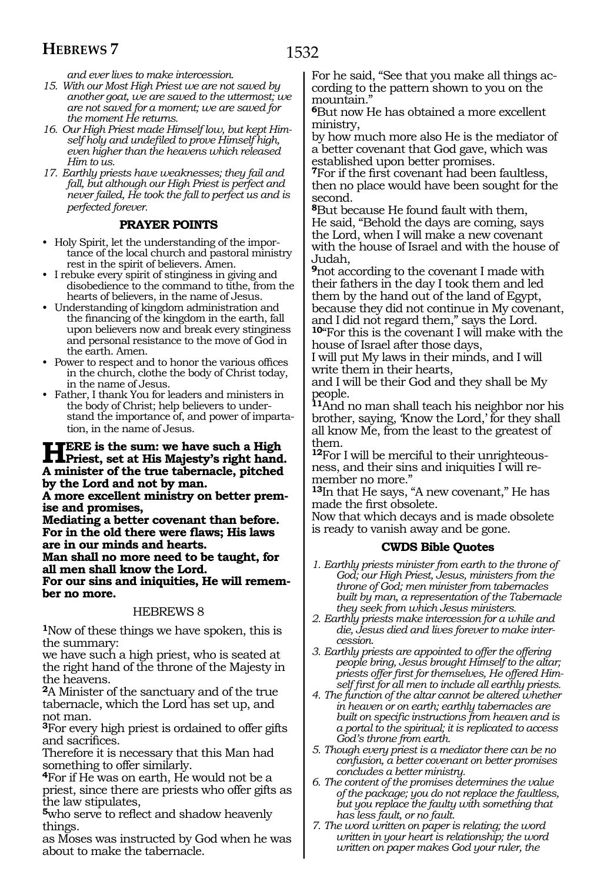*and ever lives to make intercession.*

- *15. With our Most High Priest we are not saved by another goat, we are saved to the uttermost; we are not saved for a moment; we are saved for the moment He returns.*
- *16. Our High Priest made Himself low, but kept Himself holy and undefiled to prove Himself high, even higher than the heavens which released Him to us.*
- *17. Earthly priests have weaknesses; they fail and fall, but although our High Priest is perfect and never failed, He took the fall to perfect us and is perfected forever.*

# **PRAYER POINTS**

- Holy Spirit, let the understanding of the importance of the local church and pastoral ministry rest in the spirit of believers. Amen.
- I rebuke every spirit of stinginess in giving and disobedience to the command to tithe, from the hearts of believers, in the name of Jesus.
- Understanding of kingdom administration and the financing of the kingdom in the earth, fall upon believers now and break every stinginess and personal resistance to the move of God in the earth. Amen.
- Power to respect and to honor the various offices in the church, clothe the body of Christ today, in the name of Jesus.
- Father, I thank You for leaders and ministers in the body of Christ; help believers to understand the importance of, and power of impartation, in the name of Jesus.

# **HERE** is the sum: we have such a High **Priest**, set at His Majesty's right hand. **A minister of the true tabernacle, pitched by the Lord and not by man.**

**A more excellent ministry on better premise and promises,**

**Mediating a better covenant than before. For in the old there were flaws; His laws are in our minds and hearts.**

**Man shall no more need to be taught, for all men shall know the Lord.**

**For our sins and iniquities, He will remember no more.** 

# HEBREWS 8

**<sup>1</sup>**Now of these things we have spoken, this is the summary:

we have such a high priest, who is seated at the right hand of the throne of the Majesty in the heavens.

**<sup>2</sup>**A Minister of the sanctuary and of the true tabernacle, which the Lord has set up, and not man.

**<sup>3</sup>**For every high priest is ordained to offer gifts and sacrifices.

Therefore it is necessary that this Man had something to offer similarly.

**<sup>4</sup>**For if He was on earth, He would not be a priest, since there are priests who offer gifts as the law stipulates,

**<sup>5</sup>**who serve to reflect and shadow heavenly things.

as Moses was instructed by God when he was about to make the tabernacle.

For he said, "See that you make all things according to the pattern shown to you on the mountain."

**<sup>6</sup>**But now He has obtained a more excellent ministry,

by how much more also He is the mediator of a better covenant that God gave, which was established upon better promises.

**<sup>7</sup>**For if the first covenant had been faultless, then no place would have been sought for the second.

**<sup>8</sup>**But because He found fault with them, He said, "Behold the days are coming, says the Lord, when I will make a new covenant with the house of Israel and with the house of Judah,

**<sup>9</sup>**not according to the covenant I made with their fathers in the day I took them and led them by the hand out of the land of Egypt, because they did not continue in My covenant, and I did not regard them," says the Lord. **<sup>10</sup>**"For this is the covenant I will make with the

house of Israel after those days, I will put My laws in their minds, and I will

write them in their hearts,

and I will be their God and they shall be My people.

**<sup>11</sup>**And no man shall teach his neighbor nor his brother, saying, 'Know the Lord,' for they shall all know Me, from the least to the greatest of them.

**12**For I will be merciful to their unrighteousness, and their sins and iniquities I will remember no more."

**<sup>13</sup>**In that He says, "A new covenant," He has made the first obsolete.

Now that which decays and is made obsolete is ready to vanish away and be gone.

# **CWDS Bible Quotes**

- *1. Earthly priests minister from earth to the throne of God; our High Priest, Jesus, ministers from the throne of God; men minister from tabernacles built by man, a representation of the Tabernacle they seek from which Jesus ministers.*
- *2. Earthly priests make intercession for a while and die, Jesus died and lives forever to make intercession.*
- *3. Earthly priests are appointed to offer the offering people bring, Jesus brought Himself to the altar; priests offer first for themselves, He offered Himself first for all men to include all earthly priests.*
- *4. The function of the altar cannot be altered whether in heaven or on earth; earthly tabernacles are built on specific instructions from heaven and is a portal to the spiritual; it is replicated to access God's throne from earth.*
- *5. Though every priest is a mediator there can be no confusion, a better covenant on better promises concludes a better ministry.*
- *6. The content of the promises determines the value of the package; you do not replace the faultless, but you replace the faulty with something that has less fault, or no fault.*
- *7. The word written on paper is relating; the word written in your heart is relationship; the word written on paper makes God your ruler, the*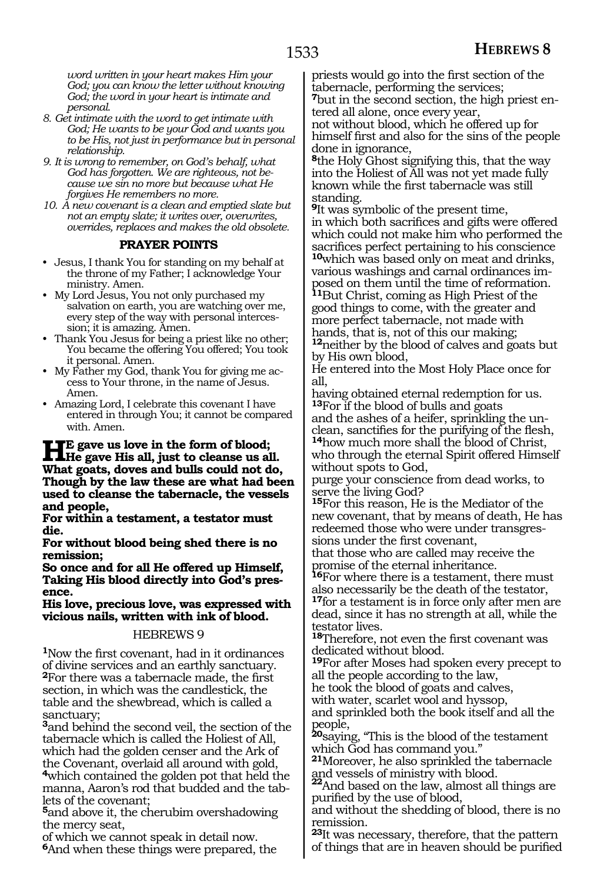*word written in your heart makes Him your God; you can know the letter without knowing God; the word in your heart is intimate and personal.*

- *8. Get intimate with the word to get intimate with God; He wants to be your God and wants you to be His, not just in performance but in personal relationship.*
- *9. It is wrong to remember, on God's behalf, what God has forgotten. We are righteous, not because we sin no more but because what He forgives He remembers no more.*
- *10. A new covenant is a clean and emptied slate but not an empty slate; it writes over, overwrites, overrides, replaces and makes the old obsolete.*

#### **PRAYER POINTS**

- Jesus, I thank You for standing on my behalf at the throne of my Father; I acknowledge Your ministry. Amen.
- My Lord Jesus, You not only purchased my salvation on earth, you are watching over me, every step of the way with personal intercession; it is amazing. Amen.
- Thank You Jesus for being a priest like no other; You became the offering You offered; You took it personal. Amen.
- My Father my God, thank You for giving me access to Your throne, in the name of Jesus. Amen.
- Amazing Lord, I celebrate this covenant I have entered in through You; it cannot be compared with. Amen.

# **HE gave us love in the form of blood;**<br>He gave His all, just to cleanse us all.<br>What gasts, days and hulls sould not do. **What goats, doves and bulls could not do, Though by the law these are what had been used to cleanse the tabernacle, the vessels and people,**

**For within a testament, a testator must die.**

**For without blood being shed there is no remission;** 

**So once and for all He offered up Himself, Taking His blood directly into God's presence.**

**His love, precious love, was expressed with vicious nails, written with ink of blood.** 

#### HEBREWS 9

**<sup>1</sup>**Now the first covenant, had in it ordinances of divine services and an earthly sanctuary. **<sup>2</sup>**For there was a tabernacle made, the first section, in which was the candlestick, the table and the shewbread, which is called a sanctuary;

**<sup>3</sup>**and behind the second veil, the section of the tabernacle which is called the Holiest of All, which had the golden censer and the Ark of the Covenant, overlaid all around with gold, **<sup>4</sup>**which contained the golden pot that held the

manna, Aaron's rod that budded and the tablets of the covenant;

**<sup>5</sup>**and above it, the cherubim overshadowing the mercy seat,

of which we cannot speak in detail now. **<sup>6</sup>**And when these things were prepared, the priests would go into the first section of the tabernacle, performing the services; **7**but in the second section, the high priest en-

tered all alone, once every year,

not without blood, which he offered up for himself first and also for the sins of the people done in ignorance,

**<sup>8</sup>**the Holy Ghost signifying this, that the way into the Holiest of All was not yet made fully known while the first tabernacle was still standing.

**<sup>9</sup>**It was symbolic of the present time, in which both sacrifices and gifts were offered which could not make him who performed the sacrifices perfect pertaining to his conscience **10**which was based only on meat and drinks, various washings and carnal ordinances imposed on them until the time of reformation. **<sup>11</sup>**But Christ, coming as High Priest of the good things to come, with the greater and more perfect tabernacle, not made with hands, that is, not of this our making; **<sup>12</sup>**neither by the blood of calves and goats but by His own blood,

He entered into the Most Holy Place once for all,

having obtained eternal redemption for us. **<sup>13</sup>**For if the blood of bulls and goats and the ashes of a heifer, sprinkling the unclean, sanctifies for the purifying of the flesh, **<sup>14</sup>**how much more shall the blood of Christ, who through the eternal Spirit offered Himself without spots to God,

purge your conscience from dead works, to serve the living God?

**<sup>15</sup>**For this reason, He is the Mediator of the new covenant, that by means of death, He has redeemed those who were under transgressions under the first covenant,

that those who are called may receive the promise of the eternal inheritance.

**<sup>16</sup>**For where there is a testament, there must also necessarily be the death of the testator, **<sup>17</sup>**for a testament is in force only after men are dead, since it has no strength at all, while the testator lives.

**<sup>18</sup>**Therefore, not even the first covenant was dedicated without blood.

**<sup>19</sup>**For after Moses had spoken every precept to all the people according to the law,

he took the blood of goats and calves,

with water, scarlet wool and hyssop,

and sprinkled both the book itself and all the people,

**<sup>20</sup>**saying, "This is the blood of the testament which God has command you."

**<sup>21</sup>**Moreover, he also sprinkled the tabernacle and vessels of ministry with blood.

**22**And based on the law, almost all things are purified by the use of blood,

and without the shedding of blood, there is no remission.

**<sup>23</sup>**It was necessary, therefore, that the pattern of things that are in heaven should be purified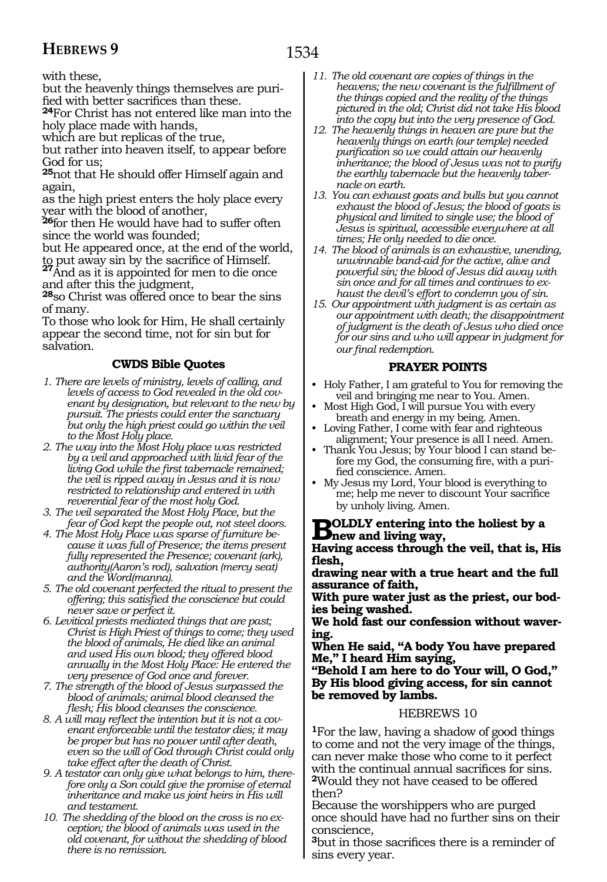with these,

but the heavenly things themselves are purified with better sacrifices than these.

**<sup>24</sup>**For Christ has not entered like man into the holy place made with hands,

which are but replicas of the true,

but rather into heaven itself, to appear before God for us;

**<sup>25</sup>**not that He should offer Himself again and again,

as the high priest enters the holy place every year with the blood of another,

**<sup>26</sup>**for then He would have had to suffer often since the world was founded;

but He appeared once, at the end of the world,

to put away sin by the sacrifice of Himself. **<sup>27</sup>**And as it is appointed for men to die once and after this the judgment,

**<sup>28</sup>**so Christ was offered once to bear the sins of many.

To those who look for Him, He shall certainly appear the second time, not for sin but for salvation.

### **CWDS Bible Quotes**

- *1. There are levels of ministry, levels of calling, and levels of access to God revealed in the old covenant by designation, but relevant to the new by pursuit. The priests could enter the sanctuary but only the high priest could go within the veil to the Most Holy place.*
- *2. The way into the Most Holy place was restricted by a veil and approached with livid fear of the living God while the first tabernacle remained; the veil is ripped away in Jesus and it is now restricted to relationship and entered in with reverential fear of the most holy God.*
- *3. The veil separated the Most Holy Place, but the fear of God kept the people out, not steel doors.*
- *4. The Most Holy Place was sparse of furniture because it was full of Presence; the items present fully represented the Presence; covenant (ark), authority(Aaron's rod), salvation (mercy seat) and the Word(manna).*
- *5. The old covenant perfected the ritual to present the offering; this satisfied the conscience but could never save or perfect it.*
- *6. Levitical priests mediated things that are past; Christ is High Priest of things to come; they used the blood of animals, He died like an animal and used His own blood; they offered blood annually in the Most Holy Place: He entered the very presence of God once and forever.*
- *7. The strength of the blood of Jesus surpassed the blood of animals; animal blood cleansed the flesh; His blood cleanses the conscience.*
- *8. A will may reflect the intention but it is not a covenant enforceable until the testator dies; it may be proper but has no power until after death, even so the will of God through Christ could only take effect after the death of Christ.*
- *9. A testator can only give what belongs to him, therefore only a Son could give the promise of eternal inheritance and make us joint heirs in His will and testament.*
- *10. The shedding of the blood on the cross is no exception; the blood of animals was used in the old covenant, for without the shedding of blood there is no remission.*
- *11. The old covenant are copies of things in the heavens; the new covenant is the fulfillment of the things copied and the reality of the things pictured in the old; Christ did not take His blood into the copy but into the very presence of God.*
- *12. The heavenly things in heaven are pure but the heavenly things on earth (our temple) needed purification so we could attain our heavenly inheritance; the blood of Jesus was not to purify the earthly tabernacle but the heavenly tabernacle on earth.*
- *13. You can exhaust goats and bulls but you cannot exhaust the blood of Jesus; the blood of goats is physical and limited to single use; the blood of Jesus is spiritual, accessible everywhere at all times; He only needed to die once.*
- *14. The blood of animals is an exhaustive, unending, unwinnable band-aid for the active, alive and powerful sin; the blood of Jesus did away with sin once and for all times and continues to exhaust the devil's effort to condemn you of sin.*
- *15. Our appointment with judgment is as certain as our appointment with death; the disappointment of judgment is the death of Jesus who died once for our sins and who will appear in judgment for our final redemption.*

# **PRAYER POINTS**

- Holy Father, I am grateful to You for removing the veil and bringing me near to You. Amen.
- Most High God, I will pursue You with every breath and energy in my being. Amen.
- Loving Father, I come with fear and righteous alignment; Your presence is all I need. Amen.
- Thank You Jesus; by Your blood I can stand before my God, the consuming fire, with a purified conscience. Amen.
- My Jesus my Lord, Your blood is everything to me; help me never to discount Your sacrifice by unholy living. Amen.

# **BOLDLY** entering into the holiest by a **property of the set of the set of the set of the set of the set of the set of the set of the set of the set of the set of the set of the set of the set of the set of the set of the**

**Having access through the veil, that is, His flesh,**

**drawing near with a true heart and the full assurance of faith,**

**With pure water just as the priest, our bodies being washed.**

**We hold fast our confession without wavering.**

**When He said, "A body You have prepared Me," I heard Him saying,**

**"Behold I am here to do Your will, O God," By His blood giving access, for sin cannot be removed by lambs.** 

#### HEBREWS 10

**<sup>1</sup>**For the law, having a shadow of good things to come and not the very image of the things, can never make those who come to it perfect with the continual annual sacrifices for sins. **<sup>2</sup>**Would they not have ceased to be offered then?

Because the worshippers who are purged once should have had no further sins on their conscience,

**<sup>3</sup>**but in those sacrifices there is a reminder of sins every year.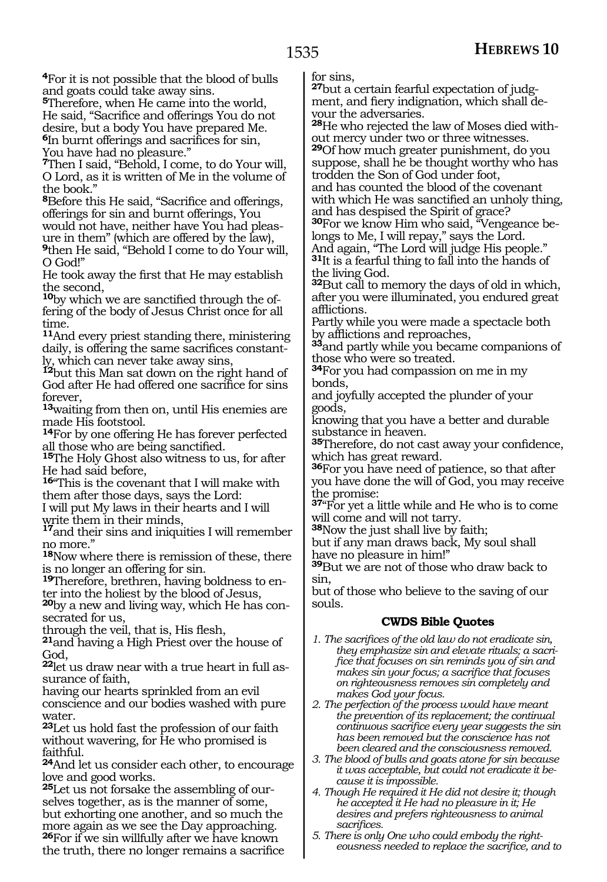**<sup>4</sup>**For it is not possible that the blood of bulls and goats could take away sins.

**<sup>5</sup>**Therefore, when He came into the world, He said, "Sacrifice and offerings You do not desire, but a body You have prepared Me. **<sup>6</sup>**In burnt offerings and sacrifices for sin, You have had no pleasure."

**<sup>7</sup>**Then I said, "Behold, I come, to do Your will, O Lord, as it is written of Me in the volume of the book."

**<sup>8</sup>**Before this He said, "Sacrifice and offerings, offerings for sin and burnt offerings, You

ure in them" (which are offered by the law), **<sup>9</sup>**then He said, "Behold I come to do Your will, O God!"

He took away the first that He may establish

the second,<br><sup>10</sup>by which we are sanctified through the offering of the body of Jesus Christ once for all time.

**<sup>11</sup>**And every priest standing there, ministering daily, is offering the same sacrifices constant- ly, which can never take away sins,

**<sup>12</sup>**but this Man sat down on the right hand of God after He had offered one sacrifice for sins forever,

**<sup>13</sup>**waiting from then on, until His enemies are made His footstool.

**<sup>14</sup>**For by one offering He has forever perfected all those who are being sanctified.

**<sup>15</sup>**The Holy Ghost also witness to us, for after He had said before,

**<sup>16</sup>**"This is the covenant that I will make with them after those days, says the Lord:

I will put My laws in their hearts and I will write them in their minds,

**<sup>17</sup>**and their sins and iniquities I will remember no more."

**<sup>18</sup>**Now where there is remission of these, there is no longer an offering for sin.

**19**Therefore, brethren, having boldness to enter into the holiest by the blood of Jesus,

**20**by a new and living way, which He has consecrated for us,

through the veil, that is, His flesh,

**<sup>21</sup>**and having a High Priest over the house of God,

**22**let us draw near with a true heart in full assurance of faith,

having our hearts sprinkled from an evil conscience and our bodies washed with pure water.

**<sup>23</sup>**Let us hold fast the profession of our faith without wavering, for He who promised is faithful.

**<sup>24</sup>**And let us consider each other, to encourage love and good works.

**25**Let us not forsake the assembling of ourselves together, as is the manner of some, but exhorting one another, and so much the more again as we see the Day approaching. **<sup>26</sup>**For if we sin willfully after we have known the truth, there no longer remains a sacrifice

for sins,<br><sup>27</sup>but a certain fearful expectation of judgment, and fiery indignation, which shall devour the adversaries.

**28**He who rejected the law of Moses died without mercy under two or three witnesses. **<sup>29</sup>**Of how much greater punishment, do you

suppose, shall he be thought worthy who has trodden the Son of God under foot,

and has counted the blood of the covenant with which He was sanctified an unholy thing, and has despised the Spirit of grace?

**30**For we know Him who said, "Vengeance belongs to Me, I will repay," says the Lord. And again, "The Lord will judge His people."

**<sup>31</sup>**It is a fearful thing to fall into the hands of the living God.

**<sup>32</sup>**But call to memory the days of old in which, after you were illuminated, you endured great afflictions.

Partly while you were made a spectacle both<br>by afflictions and reproaches,

<sup>33</sup>and partly while you became companions of those who were so treated.

**<sup>34</sup>**For you had compassion on me in my bonds,

and joyfully accepted the plunder of your goods,

knowing that you have a better and durable substance in heaven.

**<sup>35</sup>**Therefore, do not cast away your confidence, which has great reward.

**<sup>36</sup>**For you have need of patience, so that after you have done the will of God, you may receive the promise:

**<sup>37</sup>**"For yet a little while and He who is to come will come and will not tarry.

**<sup>38</sup>**Now the just shall live by faith;

but if any man draws back, My soul shall have no pleasure in him!"

**<sup>39</sup>**But we are not of those who draw back to sin,

but of those who believe to the saving of our souls.

# **CWDS Bible Quotes**

- *1. The sacrifices of the old law do not eradicate sin, they emphasize sin and elevate rituals; a sacrifice that focuses on sin reminds you of sin and makes sin your focus; a sacrifice that focuses on righteousness removes sin completely and makes God your focus.*
- *2. The perfection of the process would have meant the prevention of its replacement; the continual continuous sacrifice every year suggests the sin has been removed but the conscience has not been cleared and the consciousness removed.*
- *3. The blood of bulls and goats atone for sin because it was acceptable, but could not eradicate it because it is impossible.*
- *4. Though He required it He did not desire it; though he accepted it He had no pleasure in it; He desires and prefers righteousness to animal sacrifices.*
- *5. There is only One who could embody the righteousness needed to replace the sacrifice, and to*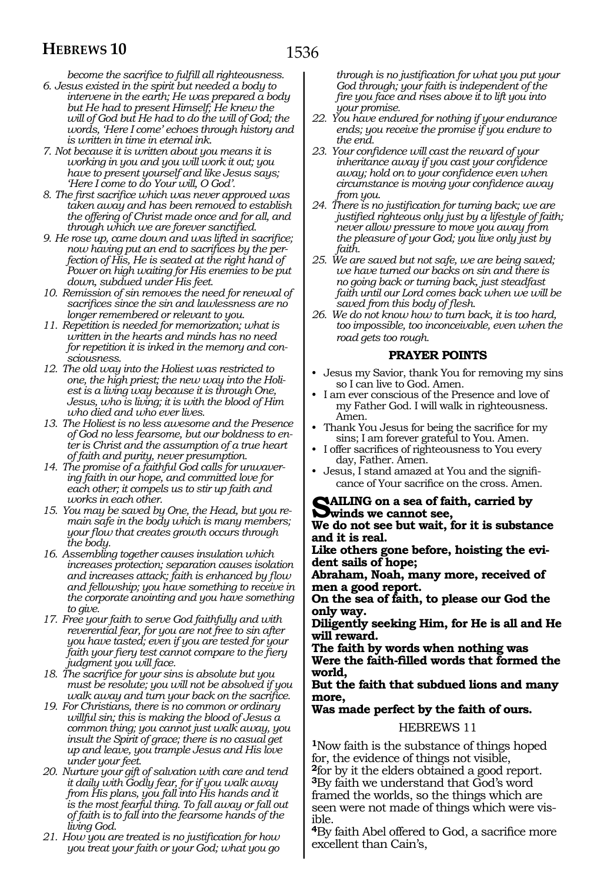*become the sacrifice to fulfill all righteousness.*

- *6. Jesus existed in the spirit but needed a body to intervene in the earth; He was prepared a body but He had to present Himself; He knew the will of God but He had to do the will of God; the words, 'Here I come' echoes through history and is written in time in eternal ink.*
- *7. Not because it is written about you means it is working in you and you will work it out; you have to present yourself and like Jesus says; 'Here I come to do Your will, O God'.*
- *8. The first sacrifice which was never approved was taken away and has been removed to establish the offering of Christ made once and for all, and through which we are forever sanctified.*
- *9. He rose up, came down and was lifted in sacrifice; now having put an end to sacrifices by the perfection of His, He is seated at the right hand of Power on high waiting for His enemies to be put down, subdued under His feet.*
- *10. Remission of sin removes the need for renewal of sacrifices since the sin and lawlessness are no longer remembered or relevant to you.*
- *11. Repetition is needed for memorization; what is written in the hearts and minds has no need for repetition it is inked in the memory and consciousness.*
- *12. The old way into the Holiest was restricted to one, the high priest; the new way into the Holiest is a living way because it is through One, Jesus, who is living; it is with the blood of Him who died and who ever lives.*
- *13. The Holiest is no less awesome and the Presence of God no less fearsome, but our boldness to enter is Christ and the assumption of a true heart of faith and purity, never presumption.*
- *14. The promise of a faithful God calls for unwavering faith in our hope, and committed love for each other; it compels us to stir up faith and works in each other.*
- *15. You may be saved by One, the Head, but you remain safe in the body which is many members; your flow that creates growth occurs through the body.*
- *16. Assembling together causes insulation which increases protection; separation causes isolation and increases attack; faith is enhanced by flow and fellowship; you have something to receive in the corporate anointing and you have something to give.*
- *17. Free your faith to serve God faithfully and with reverential fear, for you are not free to sin after you have tasted; even if you are tested for your faith your fiery test cannot compare to the fiery judgment you will face.*
- *18. The sacrifice for your sins is absolute but you must be resolute; you will not be absolved if you walk away and turn your back on the sacrifice.*
- *19. For Christians, there is no common or ordinary willful sin; this is making the blood of Jesus a common thing; you cannot just walk away, you insult the Spirit of grace; there is no casual get up and leave, you trample Jesus and His love under your feet.*
- *20. Nurture your gift of salvation with care and tend it daily with Godly fear, for if you walk away from His plans, you fall into His hands and it is the most fearful thing. To fall away or fall out of faith is to fall into the fearsome hands of the living God.*
- *21. How you are treated is no justification for how you treat your faith or your God; what you go*

*through is no justification for what you put your God through; your faith is independent of the fire you face and rises above it to lift you into your promise.* 

- *22. You have endured for nothing if your endurance ends; you receive the promise if you endure to the end.*
- *23. Your confidence will cast the reward of your inheritance away if you cast your confidence away; hold on to your confidence even when circumstance is moving your confidence away from you.*
- *24. There is no justification for turning back; we are justified righteous only just by a lifestyle of faith; never allow pressure to move you away from the pleasure of your God; you live only just by faith.*
- *25. We are saved but not safe, we are being saved; we have turned our backs on sin and there is no going back or turning back, just steadfast faith until our Lord comes back when we will be saved from this body of flesh.*
- *26. We do not know how to turn back, it is too hard, too impossible, too inconceivable, even when the road gets too rough.*

# **PRAYER POINTS**

- Jesus my Savior, thank You for removing my sins so I can live to God. Amen.
- I am ever conscious of the Presence and love of my Father God. I will walk in righteousness. Amen.
- Thank You Jesus for being the sacrifice for my sins; I am forever grateful to You. Amen.
- I offer sacrifices of righteousness to You every day, Father. Amen.
- Jesus, I stand amazed at You and the significance of Your sacrifice on the cross. Amen.

#### **Sailing on a sea of faith, carried by winds we cannot see,**

**We do not see but wait, for it is substance and it is real.** 

**Like others gone before, hoisting the evident sails of hope;** 

**Abraham, Noah, many more, received of men a good report.** 

**On the sea of faith, to please our God the only way.** 

**Diligently seeking Him, for He is all and He will reward.** 

**The faith by words when nothing was Were the faith-filled words that formed the world,** 

**But the faith that subdued lions and many more,** 

#### **Was made perfect by the faith of ours.**

#### HEBREWS 11

**<sup>1</sup>**Now faith is the substance of things hoped for, the evidence of things not visible, **<sup>2</sup>**for by it the elders obtained a good report. **<sup>3</sup>**By faith we understand that God's word framed the worlds, so the things which are seen were not made of things which were visible.

**<sup>4</sup>**By faith Abel offered to God, a sacrifice more excellent than Cain's,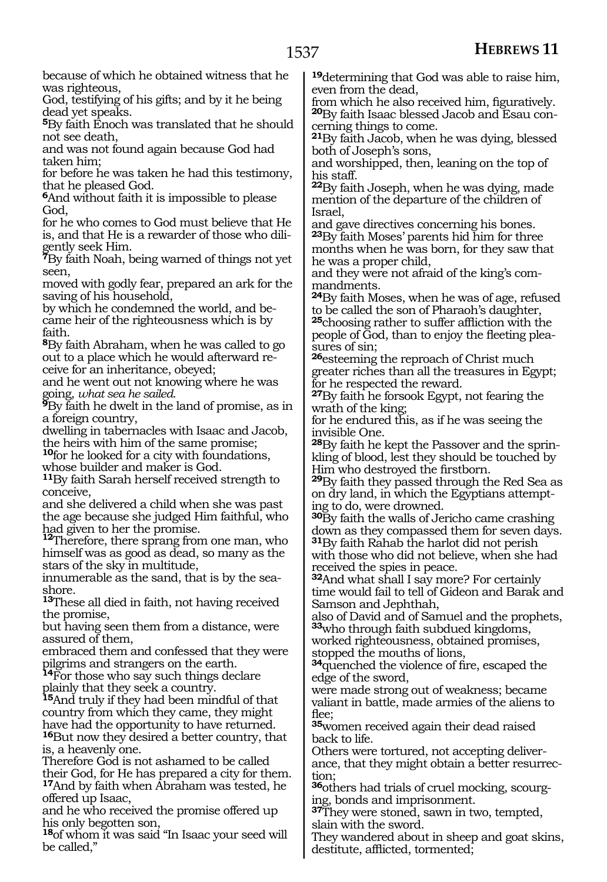because of which he obtained witness that he was righteous,

God, testifying of his gifts; and by it he being dead yet speaks.

**<sup>5</sup>**By faith Enoch was translated that he should not see death,

and was not found again because God had taken him;

for before he was taken he had this testimony, that he pleased God.

**<sup>6</sup>**And without faith it is impossible to please God,

for he who comes to God must believe that He is, and that He is a rewarder of those who diligently seek Him.

**<sup>7</sup>**By faith Noah, being warned of things not yet seen,

moved with godly fear, prepared an ark for the saving of his household,

by which he condemned the world, and became heir of the righteousness which is by faith.

**<sup>8</sup>**By faith Abraham, when he was called to go out to a place which he would afterward receive for an inheritance, obeyed;

and he went out not knowing where he was

going, *what sea he sailed*. **<sup>9</sup>**By faith he dwelt in the land of promise, as in a foreign country,

dwelling in tabernacles with Isaac and Jacob, the heirs with him of the same promise;

**<sup>10</sup>**for he looked for a city with foundations, whose builder and maker is God.

**<sup>11</sup>**By faith Sarah herself received strength to conceive,

and she delivered a child when she was past the age because she judged Him faithful, who had given to her the promise.

**12**Therefore, there sprang from one man, who himself was as good as dead, so many as the stars of the sky in multitude,

innumerable as the sand, that is by the seashore.

**<sup>13</sup>**These all died in faith, not having received the promise,

but having seen them from a distance, were assured of them,

embraced them and confessed that they were pilgrims and strangers on the earth.

**<sup>14</sup>**For those who say such things declare plainly that they seek a country.

**<sup>15</sup>**And truly if they had been mindful of that country from which they came, they might have had the opportunity to have returned. **<sup>16</sup>**But now they desired a better country, that

is, a heavenly one.

Therefore God is not ashamed to be called their God, for He has prepared a city for them. **<sup>17</sup>**And by faith when Abraham was tested, he offered up Isaac,

and he who received the promise offered up his only begotten son,

**<sup>18</sup>**of whom it was said "In Isaac your seed will be called,"

**<sup>19</sup>**determining that God was able to raise him, even from the dead,<br>from which he also received him, figuratively.

**20**By faith Isaac blessed Jacob and Esau concerning things to come.

**<sup>21</sup>**By faith Jacob, when he was dying, blessed both of Joseph's sons,

and worshipped, then, leaning on the top of his staff.

**<sup>22</sup>**By faith Joseph, when he was dying, made mention of the departure of the children of Israel,

and gave directives concerning his bones. **<sup>23</sup>**By faith Moses' parents hid him for three months when he was born, for they saw that he was a proper child,

and they were not afraid of the king's commandments.

**<sup>24</sup>**By faith Moses, when he was of age, refused to be called the son of Pharaoh's daughter,

**<sup>25</sup>**choosing rather to suffer affliction with the people of God, than to enjoy the fleeting pleasures of sin;

**<sup>26</sup>**esteeming the reproach of Christ much greater riches than all the treasures in Egypt; for he respected the reward.

**<sup>27</sup>**By faith he forsook Egypt, not fearing the wrath of the king;

for he endured this, as if he was seeing the invisible One.

**28**By faith he kept the Passover and the sprinkling of blood, lest they should be touched by Him who destroyed the firstborn.

**<sup>29</sup>**By faith they passed through the Red Sea as on dry land, in which the Egyptians attempting to do, were drowned.

**<sup>30</sup>**By faith the walls of Jericho came crashing down as they compassed them for seven days. **<sup>31</sup>**By faith Rahab the harlot did not perish

with those who did not believe, when she had received the spies in peace.

**<sup>32</sup>**And what shall I say more? For certainly time would fail to tell of Gideon and Barak and Samson and Jephthah,

also of David and of Samuel and the prophets, **<sup>33</sup>**who through faith subdued kingdoms,

worked righteousness, obtained promises, stopped the mouths of lions,

**<sup>34</sup>**quenched the violence of fire, escaped the edge of the sword,

were made strong out of weakness; became valiant in battle, made armies of the aliens to flee;

**<sup>35</sup>**women received again their dead raised back to life.

Others were tortured, not accepting deliver- ance, that they might obtain a better resurrec- tion;

**36**others had trials of cruel mocking, scourging, bonds and imprisonment.

**<sup>37</sup>**They were stoned, sawn in two, tempted, slain with the sword.

They wandered about in sheep and goat skins, destitute, afflicted, tormented;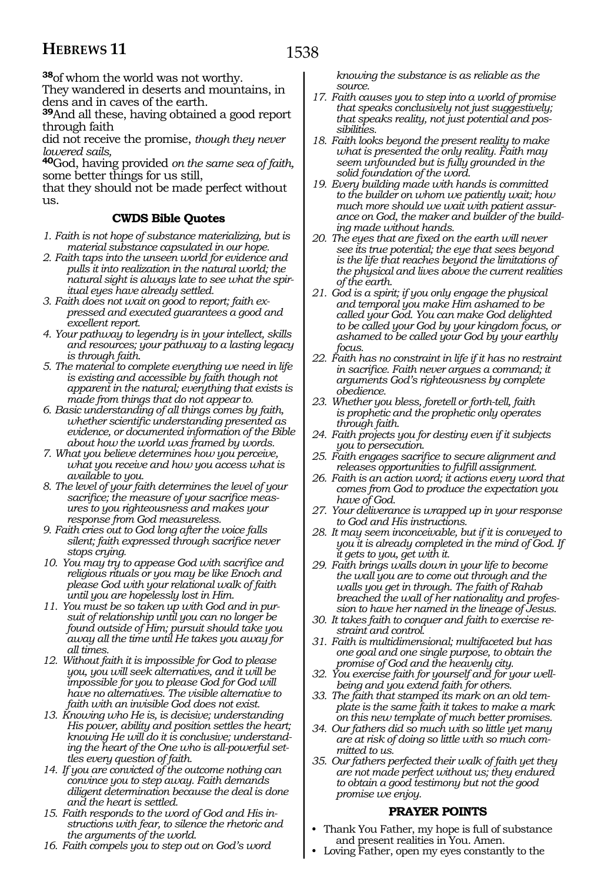**<sup>38</sup>**of whom the world was not worthy.

They wandered in deserts and mountains, in dens and in caves of the earth.

**<sup>39</sup>**And all these, having obtained a good report through faith

did not receive the promise, *though they never lowered sails,*

**<sup>40</sup>**God, having provided *on the same sea of faith,* some better things for us still,

that they should not be made perfect without us.

### **CWDS Bible Quotes**

- *1. Faith is not hope of substance materializing, but is material substance capsulated in our hope.*
- *2. Faith taps into the unseen world for evidence and pulls it into realization in the natural world; the natural sight is always late to see what the spiritual eyes have already settled.*
- *3. Faith does not wait on good to report; faith expressed and executed guarantees a good and excellent report.*
- *4. Your pathway to legendry is in your intellect, skills and resources; your pathway to a lasting legacy is through faith.*
- *5. The material to complete everything we need in life is existing and accessible by faith though not apparent in the natural; everything that exists is made from things that do not appear to.*
- *6. Basic understanding of all things comes by faith, whether scientific understanding presented as evidence, or documented information of the Bible about how the world was framed by words.*
- *7. What you believe determines how you perceive, what you receive and how you access what is available to you.*
- *8. The level of your faith determines the level of your sacrifice; the measure of your sacrifice measures to you righteousness and makes your response from God measureless.*
- *9. Faith cries out to God long after the voice falls silent; faith expressed through sacrifice never stops crying.*
- *10. You may try to appease God with sacrifice and religious rituals or you may be like Enoch and please God with your relational walk of faith until you are hopelessly lost in Him.*
- *11. You must be so taken up with God and in pursuit of relationship until you can no longer be found outside of Him; pursuit should take you away all the time until He takes you away for all times.*
- *12. Without faith it is impossible for God to please you, you will seek alternatives, and it will be impossible for you to please God for God will have no alternatives. The visible alternative to faith with an invisible God does not exist.*
- *13. Knowing who He is, is decisive; understanding His power, ability and position settles the heart; knowing He will do it is conclusive; understanding the heart of the One who is all-powerful settles every question of faith.*
- *14. If you are convicted of the outcome nothing can convince you to step away. Faith demands diligent determination because the deal is done and the heart is settled.*
- *15. Faith responds to the word of God and His instructions with fear, to silence the rhetoric and the arguments of the world.*
- *16. Faith compels you to step out on God's word*

*knowing the substance is as reliable as the source.*

- *17. Faith causes you to step into a world of promise that speaks conclusively not just suggestively; that speaks reality, not just potential and possibilities.*
- *18. Faith looks beyond the present reality to make what is presented the only reality. Faith may seem unfounded but is fully grounded in the solid foundation of the word.*
- *19. Every building made with hands is committed to the builder on whom we patiently wait; how much more should we wait with patient assurance on God, the maker and builder of the building made without hands.*
- *20. The eyes that are fixed on the earth will never see its true potential; the eye that sees beyond is the life that reaches beyond the limitations of the physical and lives above the current realities of the earth.*
- *21. God is a spirit; if you only engage the physical and temporal you make Him ashamed to be called your God. You can make God delighted to be called your God by your kingdom focus, or ashamed to be called your God by your earthly focus.*
- *22. Faith has no constraint in life if it has no restraint in sacrifice. Faith never argues a command; it arguments God's righteousness by complete obedience.*
- *23. Whether you bless, foretell or forth-tell, faith is prophetic and the prophetic only operates through faith.*
- *24. Faith projects you for destiny even if it subjects you to persecution.*
- *25. Faith engages sacrifice to secure alignment and releases opportunities to fulfill assignment.*
- *26. Faith is an action word; it actions every word that comes from God to produce the expectation you have of God.*
- *27. Your deliverance is wrapped up in your response to God and His instructions.*
- *28. It may seem inconceivable, but if it is conveyed to you it is already completed in the mind of God. If it gets to you, get with it.*
- *29. Faith brings walls down in your life to become the wall you are to come out through and the walls you get in through. The faith of Rahab breached the wall of her nationality and profession to have her named in the lineage of Jesus.*
- *30. It takes faith to conquer and faith to exercise restraint and control.*
- *31. Faith is multidimensional; multifaceted but has one goal and one single purpose, to obtain the promise of God and the heavenly city.*
- *32. You exercise faith for yourself and for your wellbeing and you extend faith for others.*
- *33. The faith that stamped its mark on an old template is the same faith it takes to make a mark on this new template of much better promises.*
- *34. Our fathers did so much with so little yet many are at risk of doing so little with so much committed to us.*
- *35. Our fathers perfected their walk of faith yet they are not made perfect without us; they endured to obtain a good testimony but not the good promise we enjoy.*

# **PRAYER POINTS**

- Thank You Father, my hope is full of substance and present realities in You. Amen.
- Loving Father, open my eyes constantly to the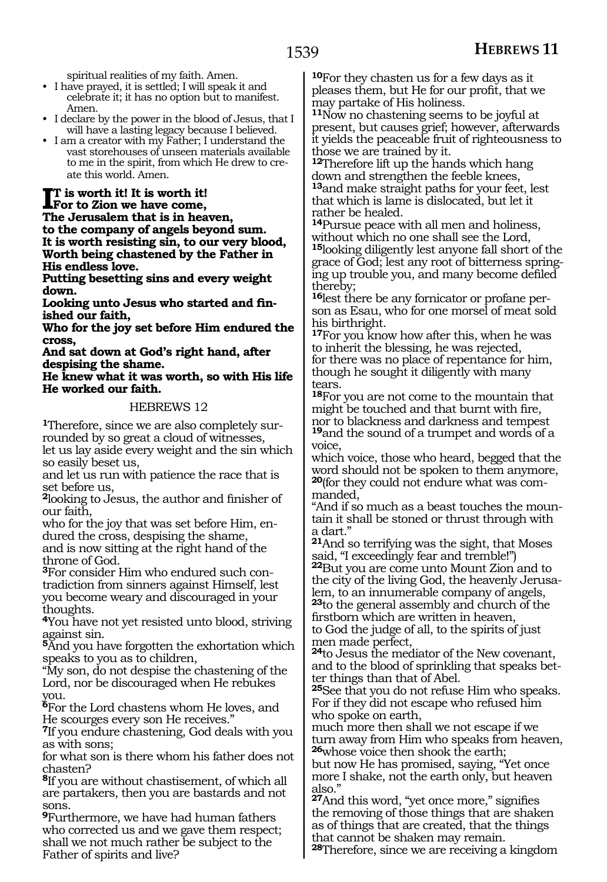spiritual realities of my faith. Amen.

• I have prayed, it is settled; I will speak it and celebrate it; it has no option but to manifest. Amen.

- I declare by the power in the blood of Jesus, that I will have a lasting legacy because I believed.
- I am a creator with my Father; I understand the vast storehouses of unseen materials available to me in the spirit, from which He drew to create this world. Amen.

**I**<sup>T</sup> is worth it! It is worth it!<br>For to Zion we have come, **For to Zion we have come, The Jerusalem that is in heaven, to the company of angels beyond sum. It is worth resisting sin, to our very blood, Worth being chastened by the Father in His endless love.**

**Putting besetting sins and every weight down.**

**Looking unto Jesus who started and finished our faith,**

**Who for the joy set before Him endured the cross,**

**And sat down at God's right hand, after despising the shame.**

**He knew what it was worth, so with His life He worked our faith.** 

#### HEBREWS 12

**1**Therefore, since we are also completely surrounded by so great a cloud of witnesses, let us lay aside every weight and the sin which so easily beset us,

and let us run with patience the race that is set before us,

**<sup>2</sup>**looking to Jesus, the author and finisher of our faith,

who for the joy that was set before Him, endured the cross, despising the shame, and is now sitting at the right hand of the throne of God.

**3**For consider Him who endured such contradiction from sinners against Himself, lest you become weary and discouraged in your thoughts.

**<sup>4</sup>**You have not yet resisted unto blood, striving against sin.

**<sup>5</sup>**And you have forgotten the exhortation which speaks to you as to children,

"My son, do not despise the chastening of the Lord, nor be discouraged when He rebukes you.

**<sup>6</sup>**For the Lord chastens whom He loves, and He scourges every son He receives."

**<sup>7</sup>**If you endure chastening, God deals with you as with sons;

for what son is there whom his father does not chasten?

**<sup>8</sup>**If you are without chastisement, of which all are partakers, then you are bastards and not sons.

**<sup>9</sup>**Furthermore, we have had human fathers who corrected us and we gave them respect; shall we not much rather be subject to the Father of spirits and live?

**<sup>10</sup>**For they chasten us for a few days as it pleases them, but He for our profit, that we may partake of His holiness.

**<sup>11</sup>**Now no chastening seems to be joyful at present, but causes grief; however, afterwards it yields the peaceable fruit of righteousness to those we are trained by it.

**<sup>12</sup>**Therefore lift up the hands which hang down and strengthen the feeble knees, **<sup>13</sup>**and make straight paths for your feet, lest that which is lame is dislocated, but let it rather be healed.

**<sup>14</sup>**Pursue peace with all men and holiness, without which no one shall see the Lord, **<sup>15</sup>**looking diligently lest anyone fall short of the grace of God; lest any root of bitterness springing up trouble you, and many become defiled thereby;

**16**lest there be any fornicator or profane person as Esau, who for one morsel of meat sold his birthright.

**17**For you know how after this, when he was to inherit the blessing, he was rejected, for there was no place of repentance for him, though he sought it diligently with many tears.

**<sup>18</sup>**For you are not come to the mountain that might be touched and that burnt with fire, nor to blackness and darkness and tempest **<sup>19</sup>**and the sound of a trumpet and words of a voice,

which voice, those who heard, begged that the word should not be spoken to them anymore, **<sup>20</sup>**(for they could not endure what was com- manded,

"And if so much as a beast touches the moun- tain it shall be stoned or thrust through with a dart."

**<sup>21</sup>**And so terrifying was the sight, that Moses said, "I exceedingly fear and tremble!") **<sup>22</sup>**But you are come unto Mount Zion and to the city of the living God, the heavenly Jerusalem, to an innumerable company of angels, **<sup>23</sup>**to the general assembly and church of the

firstborn which are written in heaven, to God the judge of all, to the spirits of just men made perfect,

**<sup>24</sup>**to Jesus the mediator of the New covenant, and to the blood of sprinkling that speaks better things than that of Abel.

**<sup>25</sup>**See that you do not refuse Him who speaks. For if they did not escape who refused him who spoke on earth,

much more then shall we not escape if we turn away from Him who speaks from heaven, **<sup>26</sup>**whose voice then shook the earth;

but now He has promised, saying, "Yet once more I shake, not the earth only, but heaven also."

**<sup>27</sup>**And this word, "yet once more," signifies the removing of those things that are shaken as of things that are created, that the things that cannot be shaken may remain.

**<sup>28</sup>**Therefore, since we are receiving a kingdom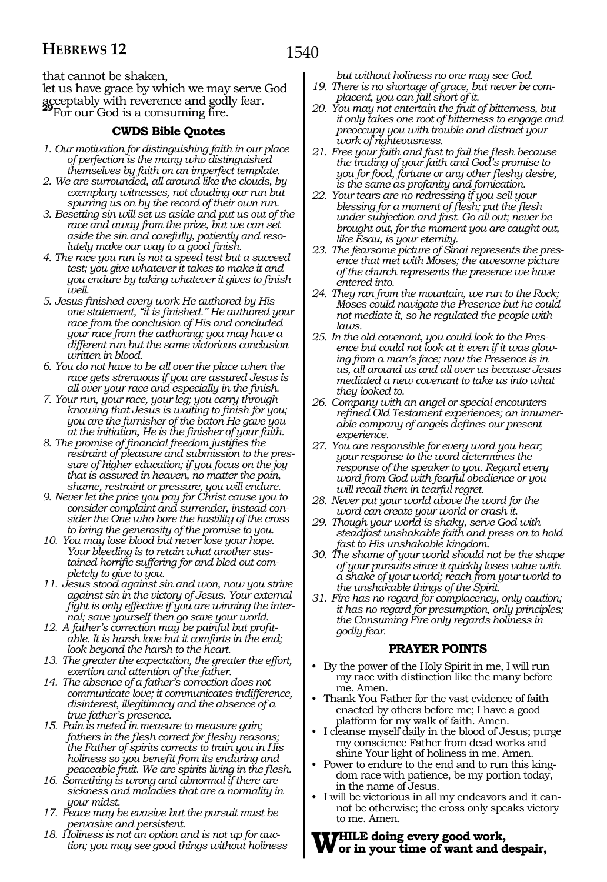that cannot be shaken,

let us have grace by which we may serve God acceptably with reverence and godly fear. **<sup>29</sup>**For our God is a consuming fire.

# **CWDS Bible Quotes**

- *1. Our motivation for distinguishing faith in our place of perfection is the many who distinguished themselves by faith on an imperfect template.*
- *2. We are surrounded, all around like the clouds, by exemplary witnesses, not clouding our run but spurring us on by the record of their own run.*
- *3. Besetting sin will set us aside and put us out of the race and away from the prize, but we can set aside the sin and carefully, patiently and resolutely make our way to a good finish.*
- *4. The race you run is not a speed test but a succeed test; you give whatever it takes to make it and you endure by taking whatever it gives to finish well.*
- *5. Jesus finished every work He authored by His one statement, "it is finished." He authored your race from the conclusion of His and concluded your race from the authoring; you may have a different run but the same victorious conclusion written in blood.*
- *6. You do not have to be all over the place when the race gets strenuous if you are assured Jesus is all over your race and especially in the finish.*
- *7. Your run, your race, your leg; you carry through knowing that Jesus is waiting to finish for you; you are the furnisher of the baton He gave you at the initiation, He is the finisher of your faith.*
- *8. The promise of financial freedom justifies the restraint of pleasure and submission to the pressure of higher education; if you focus on the joy that is assured in heaven, no matter the pain, shame, restraint or pressure, you will endure.*
- *9. Never let the price you pay for Christ cause you to consider complaint and surrender, instead consider the One who bore the hostility of the cross to bring the generosity of the promise to you.*
- *10. You may lose blood but never lose your hope. Your bleeding is to retain what another sustained horrific suffering for and bled out completely to give to you.*
- *11. Jesus stood against sin and won, now you strive against sin in the victory of Jesus. Your external fight is only effective if you are winning the internal; save yourself then go save your world.*
- *12. A father's correction may be painful but profitable. It is harsh love but it comforts in the end; look beyond the harsh to the heart.*
- *13. The greater the expectation, the greater the effort, exertion and attention of the father.*
- *14. The absence of a father's correction does not communicate love; it communicates indifference, disinterest, illegitimacy and the absence of a true father's presence.*
- *15. Pain is meted in measure to measure gain; fathers in the flesh correct for fleshy reasons; the Father of spirits corrects to train you in His holiness so you benefit from its enduring and peaceable fruit. We are spirits living in the flesh.*
- *16. Something is wrong and abnormal if there are sickness and maladies that are a normality in your midst.*
- *17. Peace may be evasive but the pursuit must be pervasive and persistent.*
- *18. Holiness is not an option and is not up for auction; you may see good things without holiness*

*but without holiness no one may see God. 19. There is no shortage of grace, but never be com-*

- *placent, you can fall short of it. 20. You may not entertain the fruit of bitterness, but it only takes one root of bitterness to engage and preoccupy you with trouble and distract your*
- *work of righteousness. 21. Free your faith and fast to fail the flesh because the trading of your faith and God's promise to you for food, fortune or any other fleshy desire, is the same as profanity and fornication.*
- *22. Your tears are no redressing if you sell your blessing for a moment of flesh; put the flesh under subjection and fast. Go all out; never be brought out, for the moment you are caught out, like Esau, is your eternity.*
- *23. The fearsome picture of Sinai represents the presence that met with Moses; the awesome picture of the church represents the presence we have entered into.*
- *24. They ran from the mountain, we run to the Rock; Moses could navigate the Presence but he could not mediate it, so he regulated the people with laws.*
- *25. In the old covenant, you could look to the Presence but could not look at it even if it was glowing from a man's face; now the Presence is in us, all around us and all over us because Jesus mediated a new covenant to take us into what they looked to.*
- *26. Company with an angel or special encounters refined Old Testament experiences; an innumerable company of angels defines our present experience.*
- *27. You are responsible for every word you hear; your response to the word determines the response of the speaker to you. Regard every word from God with fearful obedience or you will recall them in tearful regret.*
- *28. Never put your world above the word for the word can create your world or crash it.*
- *29. Though your world is shaky, serve God with steadfast unshakable faith and press on to hold fast to His unshakable kingdom.*
- *30. The shame of your world should not be the shape of your pursuits since it quickly loses value with a shake of your world; reach from your world to the unshakable things of the Spirit.*
- *31. Fire has no regard for complacency, only caution; it has no regard for presumption, only principles; the Consuming Fire only regards holiness in godly fear.*

# **PRAYER POINTS**

- By the power of the Holy Spirit in me, I will run my race with distinction like the many before me. Amen.
- Thank You Father for the vast evidence of faith enacted by others before me; I have a good platform for my walk of faith. Amen.
- I cleanse myself daily in the blood of Jesus; purge my conscience Father from dead works and shine Your light of holiness in me. Amen.
- Power to endure to the end and to run this kingdom race with patience, be my portion today, in the name of Jesus.
- I will be victorious in all my endeavors and it cannot be otherwise; the cross only speaks victory to me. Amen.

# **While doing every good work, or in your time of want and despair,**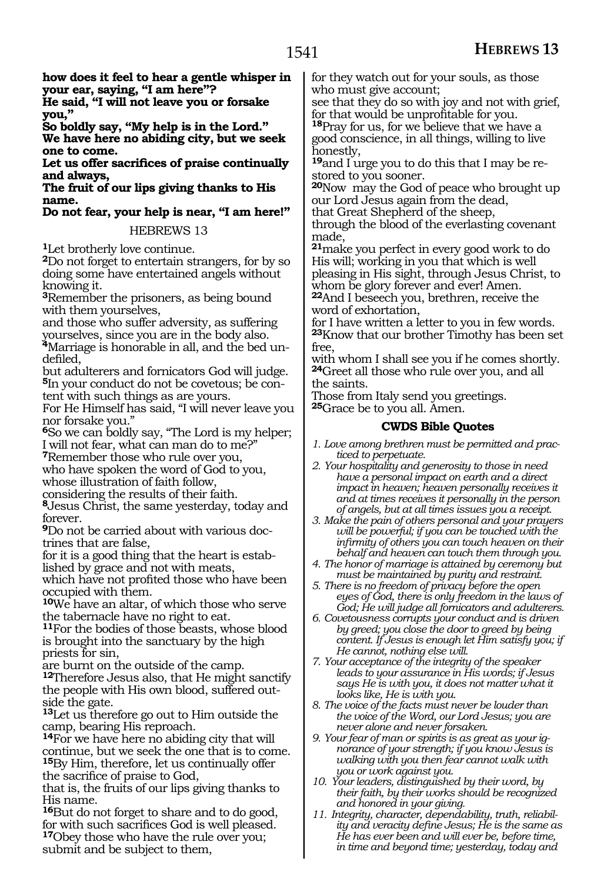**how does it feel to hear a gentle whisper in your ear, saying, "I am here"?**

**He said, "I will not leave you or forsake you,"**

**So boldly say, "My help is in the Lord." We have here no abiding city, but we seek one to come.**

**Let us offer sacrifices of praise continually and always,**

**The fruit of our lips giving thanks to His name.**

**Do not fear, your help is near, "I am here!"** 

#### HEBREWS 13

**<sup>1</sup>**Let brotherly love continue.

**<sup>2</sup>**Do not forget to entertain strangers, for by so doing some have entertained angels without knowing it.

**<sup>3</sup>**Remember the prisoners, as being bound with them yourselves,

and those who suffer adversity, as suffering yourselves, since you are in the body also.

**4**Marriage is honorable in all, and the bed undefiled,

but adulterers and fornicators God will judge. **5**In your conduct do not be covetous; be content with such things as are yours.

For He Himself has said, "I will never leave you nor forsake you."

**<sup>6</sup>**So we can boldly say, "The Lord is my helper; I will not fear, what can man do to me?"

**<sup>7</sup>**Remember those who rule over you, who have spoken the word of God to you,

whose illustration of faith follow,

considering the results of their faith. **<sup>8</sup>**Jesus Christ, the same yesterday, today and forever.

**<sup>9</sup>**Do not be carried about with various doc- trines that are false,

for it is a good thing that the heart is estab- lished by grace and not with meats,

which have not profited those who have been occupied with them.

**<sup>10</sup>**We have an altar, of which those who serve the tabernacle have no right to eat.

**<sup>11</sup>**For the bodies of those beasts, whose blood is brought into the sanctuary by the high priests for sin,

are burnt on the outside of the camp.

**<sup>12</sup>**Therefore Jesus also, that He might sanctify the people with His own blood, suffered outside the gate.

**<sup>13</sup>**Let us therefore go out to Him outside the camp, bearing His reproach.

**<sup>14</sup>**For we have here no abiding city that will continue, but we seek the one that is to come. **<sup>15</sup>**By Him, therefore, let us continually offer the sacrifice of praise to God,

that is, the fruits of our lips giving thanks to His name.

**<sup>16</sup>**But do not forget to share and to do good, for with such sacrifices God is well pleased. **<sup>17</sup>**Obey those who have the rule over you; submit and be subject to them,

for they watch out for your souls, as those who must give account;

see that they do so with joy and not with grief, for that would be unprofitable for you. **<sup>18</sup>**Pray for us, for we believe that we have a

good conscience, in all things, willing to live honestly,

**19**and I urge you to do this that I may be restored to you sooner.

**<sup>20</sup>**Now may the God of peace who brought up our Lord Jesus again from the dead,

that Great Shepherd of the sheep, through the blood of the everlasting covenant

made,

**<sup>21</sup>**make you perfect in every good work to do His will; working in you that which is well pleasing in His sight, through Jesus Christ, to whom be glory forever and ever! Amen.

**<sup>22</sup>**And I beseech you, brethren, receive the word of exhortation,

for I have written a letter to you in few words. **<sup>23</sup>**Know that our brother Timothy has been set free,

with whom I shall see you if he comes shortly. **<sup>24</sup>**Greet all those who rule over you, and all the saints.

Those from Italy send you greetings. **<sup>25</sup>**Grace be to you all. Amen.

### **CWDS Bible Quotes**

*1. Love among brethren must be permitted and practiced to perpetuate.*

- *2. Your hospitality and generosity to those in need have a personal impact on earth and a direct impact in heaven; heaven personally receives it and at times receives it personally in the person of angels, but at all times issues you a receipt.*
- *3. Make the pain of others personal and your prayers will be powerful; if you can be touched with the infirmity of others you can touch heaven on their behalf and heaven can touch them through you.*
- *4. The honor of marriage is attained by ceremony but must be maintained by purity and restraint.*
- *5. There is no freedom of privacy before the open eyes of God, there is only freedom in the laws of God; He will judge all fornicators and adulterers.*
- *6. Covetousness corrupts your conduct and is driven by greed; you close the door to greed by being content. If Jesus is enough let Him satisfy you; if He cannot, nothing else will.*

*7. Your acceptance of the integrity of the speaker leads to your assurance in His words; if Jesus says He is with you, it does not matter what it looks like, He is with you.*

- *8. The voice of the facts must never be louder than the voice of the Word, our Lord Jesus; you are never alone and never forsaken.*
- *9. Your fear of man or spirits is as great as your ignorance of your strength; if you know Jesus is walking with you then fear cannot walk with you or work against you.*
- *10. Your leaders, distinguished by their word, by their faith, by their works should be recognized and honored in your giving.*
- *11. Integrity, character, dependability, truth, reliability and veracity define Jesus; He is the same as He has ever been and will ever be, before time, in time and beyond time; yesterday, today and*